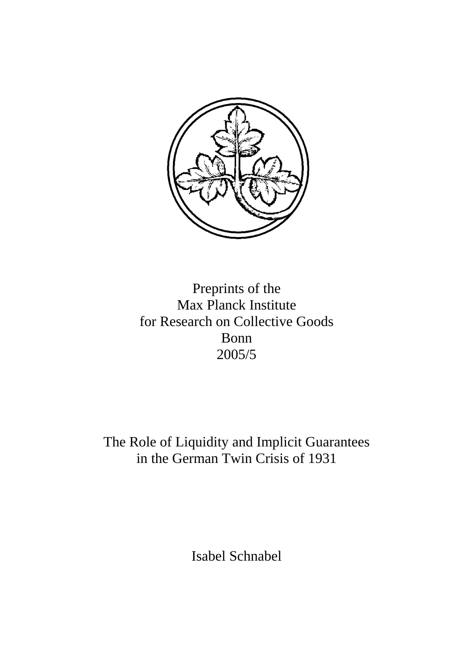

Preprints of the Max Planck Institute for Research on Collective Goods Bonn 2005/5

The Role of Liquidity and Implicit Guarantees in the German Twin Crisis of 1931

Isabel Schnabel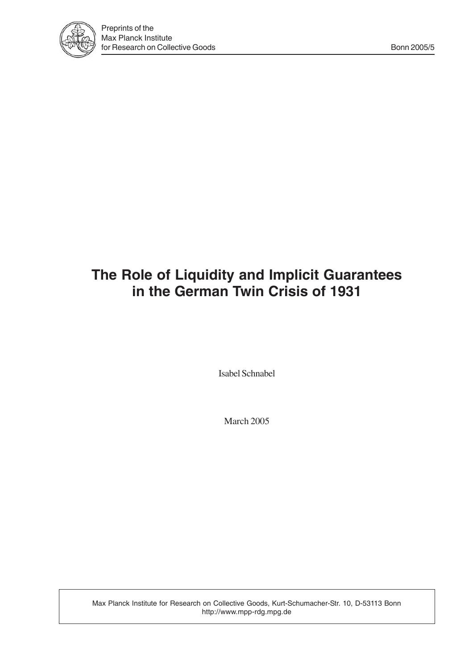

## **The Role of Liquidity and Implicit Guarantees in the German Twin Crisis of 1931**

Isabel Schnabel

March 2005

Max Planck Institute for Research on Collective Goods, Kurt-Schumacher-Str. 10, D-53113 Bonn http://www.mpp-rdg.mpg.de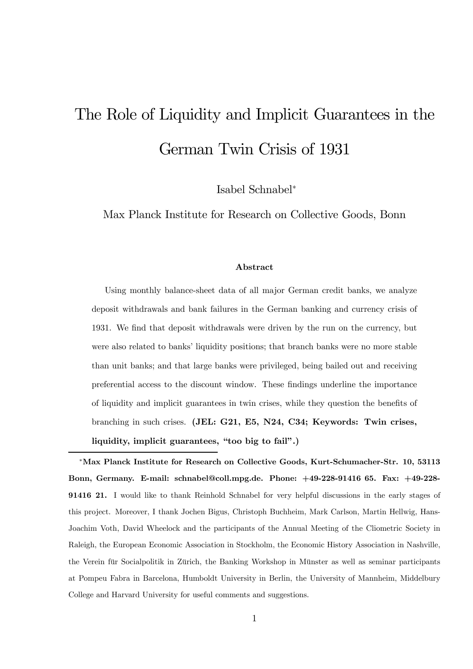# The Role of Liquidity and Implicit Guarantees in the German Twin Crisis of 1931

Isabel Schnabel<sup>∗</sup>

Max Planck Institute for Research on Collective Goods, Bonn

#### Abstract

Using monthly balance-sheet data of all major German credit banks, we analyze deposit withdrawals and bank failures in the German banking and currency crisis of 1931. We find that deposit withdrawals were driven by the run on the currency, but were also related to banks' liquidity positions; that branch banks were no more stable than unit banks; and that large banks were privileged, being bailed out and receiving preferential access to the discount window. These findings underline the importance of liquidity and implicit guarantees in twin crises, while they question the benefits of branching in such crises. (JEL: G21, E5, N24, C34; Keywords: Twin crises, liquidity, implicit guarantees, "too big to fail".)

∗Max Planck Institute for Research on Collective Goods, Kurt-Schumacher-Str. 10, 53113 Bonn, Germany. E-mail: schnabel@coll.mpg.de. Phone: +49-228-91416 65. Fax: +49-228- 91416 21. I would like to thank Reinhold Schnabel for very helpful discussions in the early stages of this project. Moreover, I thank Jochen Bigus, Christoph Buchheim, Mark Carlson, Martin Hellwig, Hans-Joachim Voth, David Wheelock and the participants of the Annual Meeting of the Cliometric Society in Raleigh, the European Economic Association in Stockholm, the Economic History Association in Nashville, the Verein für Socialpolitik in Zürich, the Banking Workshop in Münster as well as seminar participants at Pompeu Fabra in Barcelona, Humboldt University in Berlin, the University of Mannheim, Middelbury College and Harvard University for useful comments and suggestions.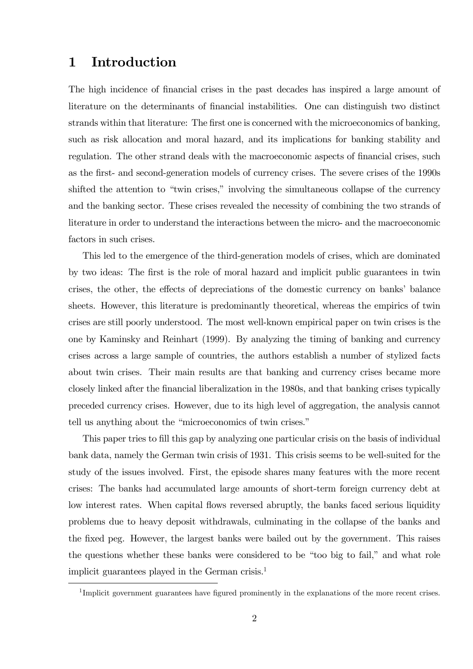## 1 Introduction

The high incidence of financial crises in the past decades has inspired a large amount of literature on the determinants of financial instabilities. One can distinguish two distinct strands within that literature: The first one is concerned with the microeconomics of banking, such as risk allocation and moral hazard, and its implications for banking stability and regulation. The other strand deals with the macroeconomic aspects of financial crises, such as the first- and second-generation models of currency crises. The severe crises of the 1990s shifted the attention to "twin crises," involving the simultaneous collapse of the currency and the banking sector. These crises revealed the necessity of combining the two strands of literature in order to understand the interactions between the micro- and the macroeconomic factors in such crises.

This led to the emergence of the third-generation models of crises, which are dominated by two ideas: The first is the role of moral hazard and implicit public guarantees in twin crises, the other, the effects of depreciations of the domestic currency on banks' balance sheets. However, this literature is predominantly theoretical, whereas the empirics of twin crises are still poorly understood. The most well-known empirical paper on twin crises is the one by Kaminsky and Reinhart (1999). By analyzing the timing of banking and currency crises across a large sample of countries, the authors establish a number of stylized facts about twin crises. Their main results are that banking and currency crises became more closely linked after the financial liberalization in the 1980s, and that banking crises typically preceded currency crises. However, due to its high level of aggregation, the analysis cannot tell us anything about the "microeconomics of twin crises."

This paper tries to fill this gap by analyzing one particular crisis on the basis of individual bank data, namely the German twin crisis of 1931. This crisis seems to be well-suited for the study of the issues involved. First, the episode shares many features with the more recent crises: The banks had accumulated large amounts of short-term foreign currency debt at low interest rates. When capital flows reversed abruptly, the banks faced serious liquidity problems due to heavy deposit withdrawals, culminating in the collapse of the banks and the fixed peg. However, the largest banks were bailed out by the government. This raises the questions whether these banks were considered to be "too big to fail," and what role implicit guarantees played in the German crisis.<sup>1</sup>

<sup>&</sup>lt;sup>1</sup>Implicit government guarantees have figured prominently in the explanations of the more recent crises.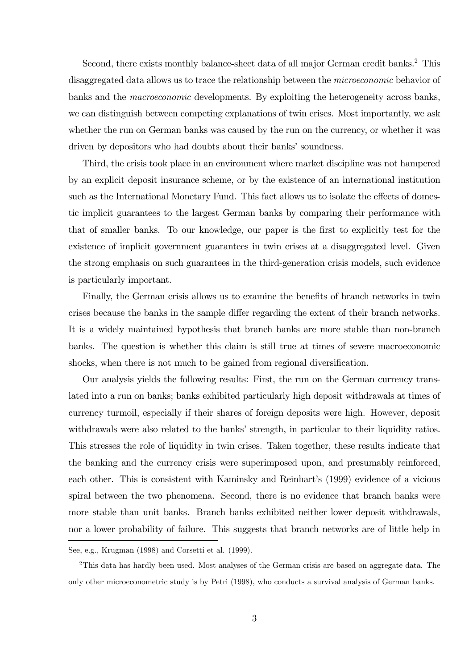Second, there exists monthly balance-sheet data of all major German credit banks.<sup>2</sup> This disaggregated data allows us to trace the relationship between the *microeconomic* behavior of banks and the macroeconomic developments. By exploiting the heterogeneity across banks, we can distinguish between competing explanations of twin crises. Most importantly, we ask whether the run on German banks was caused by the run on the currency, or whether it was driven by depositors who had doubts about their banks' soundness.

Third, the crisis took place in an environment where market discipline was not hampered by an explicit deposit insurance scheme, or by the existence of an international institution such as the International Monetary Fund. This fact allows us to isolate the effects of domestic implicit guarantees to the largest German banks by comparing their performance with that of smaller banks. To our knowledge, our paper is the first to explicitly test for the existence of implicit government guarantees in twin crises at a disaggregated level. Given the strong emphasis on such guarantees in the third-generation crisis models, such evidence is particularly important.

Finally, the German crisis allows us to examine the benefits of branch networks in twin crises because the banks in the sample differ regarding the extent of their branch networks. It is a widely maintained hypothesis that branch banks are more stable than non-branch banks. The question is whether this claim is still true at times of severe macroeconomic shocks, when there is not much to be gained from regional diversification.

Our analysis yields the following results: First, the run on the German currency translated into a run on banks; banks exhibited particularly high deposit withdrawals at times of currency turmoil, especially if their shares of foreign deposits were high. However, deposit withdrawals were also related to the banks' strength, in particular to their liquidity ratios. This stresses the role of liquidity in twin crises. Taken together, these results indicate that the banking and the currency crisis were superimposed upon, and presumably reinforced, each other. This is consistent with Kaminsky and Reinhart's (1999) evidence of a vicious spiral between the two phenomena. Second, there is no evidence that branch banks were more stable than unit banks. Branch banks exhibited neither lower deposit withdrawals, nor a lower probability of failure. This suggests that branch networks are of little help in

See, e.g., Krugman (1998) and Corsetti et al. (1999).

<sup>2</sup>This data has hardly been used. Most analyses of the German crisis are based on aggregate data. The only other microeconometric study is by Petri (1998), who conducts a survival analysis of German banks.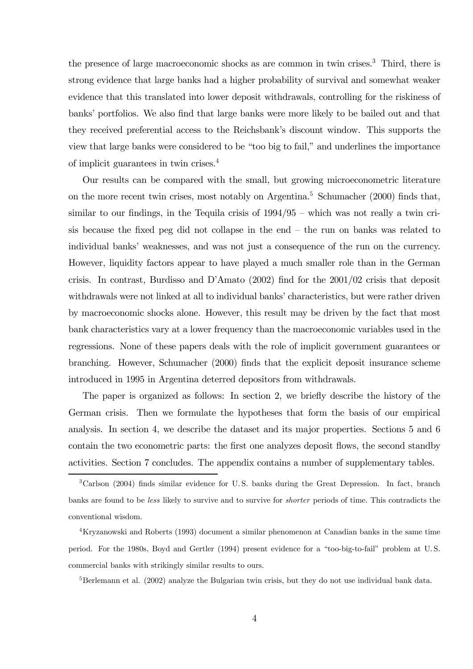the presence of large macroeconomic shocks as are common in twin crises.3 Third, there is strong evidence that large banks had a higher probability of survival and somewhat weaker evidence that this translated into lower deposit withdrawals, controlling for the riskiness of banks' portfolios. We also find that large banks were more likely to be bailed out and that they received preferential access to the Reichsbank's discount window. This supports the view that large banks were considered to be "too big to fail," and underlines the importance of implicit guarantees in twin crises.4

Our results can be compared with the small, but growing microeconometric literature on the more recent twin crises, most notably on Argentina.<sup>5</sup> Schumacher (2000) finds that, similar to our findings, in the Tequila crisis of  $1994/95$  – which was not really a twin crisis because the fixed peg did not collapse in the end  $-$  the run on banks was related to individual banksí weaknesses, and was not just a consequence of the run on the currency. However, liquidity factors appear to have played a much smaller role than in the German crisis. In contrast, Burdisso and DíAmato (2002) find for the 2001/02 crisis that deposit withdrawals were not linked at all to individual banks' characteristics, but were rather driven by macroeconomic shocks alone. However, this result may be driven by the fact that most bank characteristics vary at a lower frequency than the macroeconomic variables used in the regressions. None of these papers deals with the role of implicit government guarantees or branching. However, Schumacher (2000) finds that the explicit deposit insurance scheme introduced in 1995 in Argentina deterred depositors from withdrawals.

The paper is organized as follows: In section 2, we briefly describe the history of the German crisis. Then we formulate the hypotheses that form the basis of our empirical analysis. In section 4, we describe the dataset and its major properties. Sections 5 and 6 contain the two econometric parts: the first one analyzes deposit flows, the second standby activities. Section 7 concludes. The appendix contains a number of supplementary tables.

<sup>5</sup>Berlemann et al. (2002) analyze the Bulgarian twin crisis, but they do not use individual bank data.

<sup>3</sup>Carlson (2004) finds similar evidence for U. S. banks during the Great Depression. In fact, branch banks are found to be less likely to survive and to survive for shorter periods of time. This contradicts the conventional wisdom.

<sup>4</sup>Kryzanowski and Roberts (1993) document a similar phenomenon at Canadian banks in the same time period. For the 1980s, Boyd and Gertler (1994) present evidence for a "too-big-to-fail" problem at U.S. commercial banks with strikingly similar results to ours.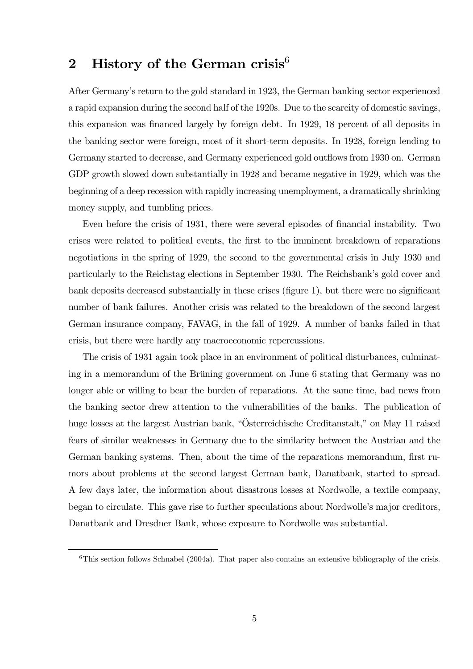## 2 History of the German crisis $^6$

After Germanyís return to the gold standard in 1923, the German banking sector experienced a rapid expansion during the second half of the 1920s. Due to the scarcity of domestic savings, this expansion was financed largely by foreign debt. In 1929, 18 percent of all deposits in the banking sector were foreign, most of it short-term deposits. In 1928, foreign lending to Germany started to decrease, and Germany experienced gold outflows from 1930 on. German GDP growth slowed down substantially in 1928 and became negative in 1929, which was the beginning of a deep recession with rapidly increasing unemployment, a dramatically shrinking money supply, and tumbling prices.

Even before the crisis of 1931, there were several episodes of financial instability. Two crises were related to political events, the first to the imminent breakdown of reparations negotiations in the spring of 1929, the second to the governmental crisis in July 1930 and particularly to the Reichstag elections in September 1930. The Reichsbankís gold cover and bank deposits decreased substantially in these crises (figure 1), but there were no significant number of bank failures. Another crisis was related to the breakdown of the second largest German insurance company, FAVAG, in the fall of 1929. A number of banks failed in that crisis, but there were hardly any macroeconomic repercussions.

The crisis of 1931 again took place in an environment of political disturbances, culminating in a memorandum of the Brüning government on June 6 stating that Germany was no longer able or willing to bear the burden of reparations. At the same time, bad news from the banking sector drew attention to the vulnerabilities of the banks. The publication of huge losses at the largest Austrian bank, "Österreichische Creditanstalt," on May 11 raised fears of similar weaknesses in Germany due to the similarity between the Austrian and the German banking systems. Then, about the time of the reparations memorandum, first rumors about problems at the second largest German bank, Danatbank, started to spread. A few days later, the information about disastrous losses at Nordwolle, a textile company, began to circulate. This gave rise to further speculations about Nordwolle's major creditors, Danatbank and Dresdner Bank, whose exposure to Nordwolle was substantial.

 $6$ This section follows Schnabel (2004a). That paper also contains an extensive bibliography of the crisis.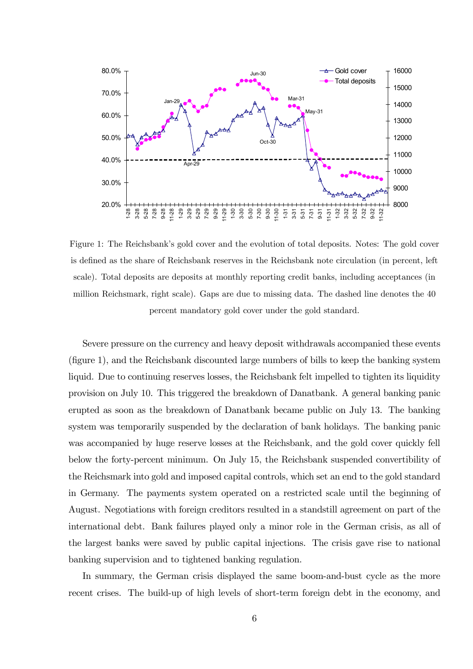

Figure 1: The Reichsbankís gold cover and the evolution of total deposits. Notes: The gold cover is defined as the share of Reichsbank reserves in the Reichsbank note circulation (in percent, left scale). Total deposits are deposits at monthly reporting credit banks, including acceptances (in million Reichsmark, right scale). Gaps are due to missing data. The dashed line denotes the 40 percent mandatory gold cover under the gold standard.

Severe pressure on the currency and heavy deposit withdrawals accompanied these events (figure 1), and the Reichsbank discounted large numbers of bills to keep the banking system liquid. Due to continuing reserves losses, the Reichsbank felt impelled to tighten its liquidity provision on July 10. This triggered the breakdown of Danatbank. A general banking panic erupted as soon as the breakdown of Danatbank became public on July 13. The banking system was temporarily suspended by the declaration of bank holidays. The banking panic was accompanied by huge reserve losses at the Reichsbank, and the gold cover quickly fell below the forty-percent minimum. On July 15, the Reichsbank suspended convertibility of the Reichsmark into gold and imposed capital controls, which set an end to the gold standard in Germany. The payments system operated on a restricted scale until the beginning of August. Negotiations with foreign creditors resulted in a standstill agreement on part of the international debt. Bank failures played only a minor role in the German crisis, as all of the largest banks were saved by public capital injections. The crisis gave rise to national banking supervision and to tightened banking regulation.

In summary, the German crisis displayed the same boom-and-bust cycle as the more recent crises. The build-up of high levels of short-term foreign debt in the economy, and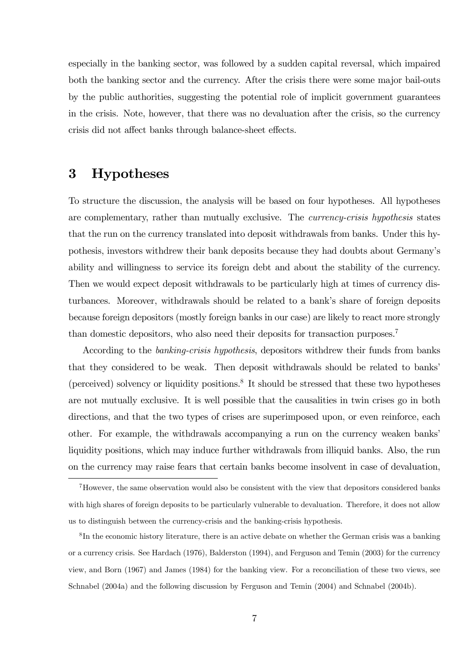especially in the banking sector, was followed by a sudden capital reversal, which impaired both the banking sector and the currency. After the crisis there were some major bail-outs by the public authorities, suggesting the potential role of implicit government guarantees in the crisis. Note, however, that there was no devaluation after the crisis, so the currency crisis did not affect banks through balance-sheet effects.

## 3 Hypotheses

To structure the discussion, the analysis will be based on four hypotheses. All hypotheses are complementary, rather than mutually exclusive. The currency-crisis hypothesis states that the run on the currency translated into deposit withdrawals from banks. Under this hypothesis, investors withdrew their bank deposits because they had doubts about Germanyís ability and willingness to service its foreign debt and about the stability of the currency. Then we would expect deposit withdrawals to be particularly high at times of currency disturbances. Moreover, withdrawals should be related to a bank's share of foreign deposits because foreign depositors (mostly foreign banks in our case) are likely to react more strongly than domestic depositors, who also need their deposits for transaction purposes.7

According to the banking-crisis hypothesis, depositors withdrew their funds from banks that they considered to be weak. Then deposit withdrawals should be related to banks' (perceived) solvency or liquidity positions.8 It should be stressed that these two hypotheses are not mutually exclusive. It is well possible that the causalities in twin crises go in both directions, and that the two types of crises are superimposed upon, or even reinforce, each other. For example, the withdrawals accompanying a run on the currency weaken banks' liquidity positions, which may induce further withdrawals from illiquid banks. Also, the run on the currency may raise fears that certain banks become insolvent in case of devaluation,

<sup>7</sup>However, the same observation would also be consistent with the view that depositors considered banks with high shares of foreign deposits to be particularly vulnerable to devaluation. Therefore, it does not allow us to distinguish between the currency-crisis and the banking-crisis hypothesis.

<sup>&</sup>lt;sup>8</sup>In the economic history literature, there is an active debate on whether the German crisis was a banking or a currency crisis. See Hardach (1976), Balderston (1994), and Ferguson and Temin (2003) for the currency view, and Born (1967) and James (1984) for the banking view. For a reconciliation of these two views, see Schnabel (2004a) and the following discussion by Ferguson and Temin (2004) and Schnabel (2004b).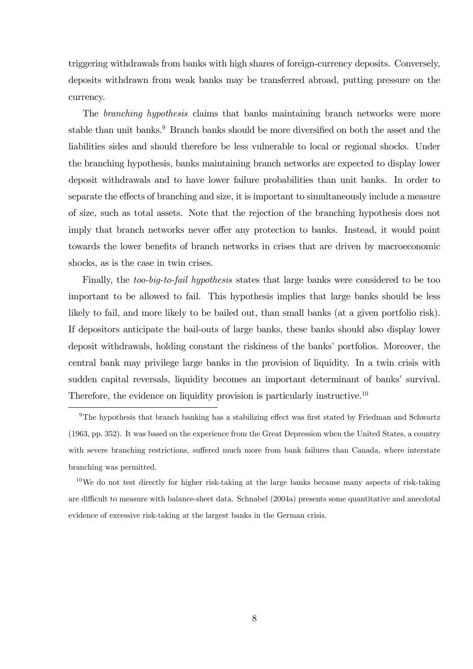triggering withdrawals from banks with high shares of foreign-currency deposits. Conversely, deposits withdrawn from weak banks may be transferred abroad, putting pressure on the currency.

The branching hypothesis claims that banks maintaining branch networks were more stable than unit banks.<sup>9</sup> Branch banks should be more diversified on both the asset and the liabilities sides and should therefore be less vulnerable to local or regional shocks. Under the branching hypothesis, banks maintaining branch networks are expected to display lower deposit withdrawals and to have lower failure probabilities than unit banks. In order to separate the effects of branching and size, it is important to simultaneously include a measure of size, such as total assets. Note that the rejection of the branching hypothesis does not imply that branch networks never offer any protection to banks. Instead, it would point towards the lower benefits of branch networks in crises that are driven by macroeconomic shocks, as is the case in twin crises.

Finally, the too-big-to-fail hypothesis states that large banks were considered to be too important to be allowed to fail. This hypothesis implies that large banks should be less likely to fail, and more likely to be bailed out, than small banks (at a given portfolio risk). If depositors anticipate the bail-outs of large banks, these banks should also display lower deposit withdrawals, holding constant the riskiness of the banks' portfolios. Moreover, the central bank may privilege large banks in the provision of liquidity. In a twin crisis with sudden capital reversals, liquidity becomes an important determinant of banks' survival. Therefore, the evidence on liquidity provision is particularly instructive.<sup>10</sup>

<sup>&</sup>lt;sup>9</sup>The hypothesis that branch banking has a stabilizing effect was first stated by Friedman and Schwartz (1963, pp. 352). It was based on the experience from the Great Depression when the United States, a country with severe branching restrictions, suffered much more from bank failures than Canada, where interstate branching was permitted.

 $10$ We do not test directly for higher risk-taking at the large banks because many aspects of risk-taking are difficult to measure with balance-sheet data. Schnabel (2004a) presents some quantitative and anecdotal evidence of excessive risk-taking at the largest banks in the German crisis.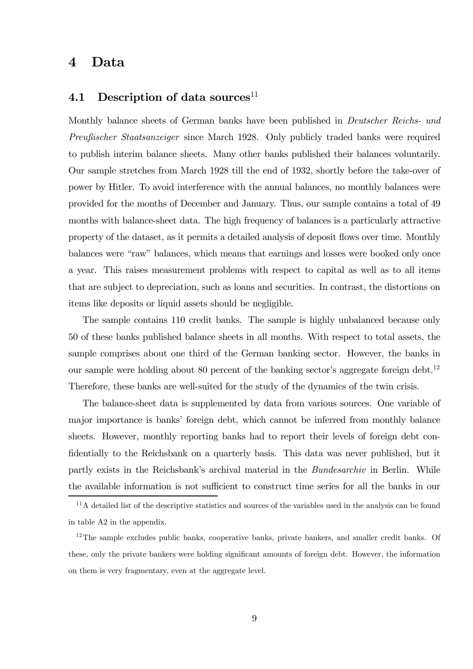## 4 Data

#### 4.1 Description of data sources<sup>11</sup>

Monthly balance sheets of German banks have been published in *Deutscher Reichs- und* Preuflischer Staatsanzeiger since March 1928. Only publicly traded banks were required to publish interim balance sheets. Many other banks published their balances voluntarily. Our sample stretches from March 1928 till the end of 1932, shortly before the take-over of power by Hitler. To avoid interference with the annual balances, no monthly balances were provided for the months of December and January. Thus, our sample contains a total of 49 months with balance-sheet data. The high frequency of balances is a particularly attractive property of the dataset, as it permits a detailed analysis of deposit flows over time. Monthly balances were "raw" balances, which means that earnings and losses were booked only once a year. This raises measurement problems with respect to capital as well as to all items that are subject to depreciation, such as loans and securities. In contrast, the distortions on items like deposits or liquid assets should be negligible.

The sample contains 110 credit banks. The sample is highly unbalanced because only 50 of these banks published balance sheets in all months. With respect to total assets, the sample comprises about one third of the German banking sector. However, the banks in our sample were holding about 80 percent of the banking sector's aggregate foreign debt.<sup>12</sup> Therefore, these banks are well-suited for the study of the dynamics of the twin crisis.

The balance-sheet data is supplemented by data from various sources. One variable of major importance is banks' foreign debt, which cannot be inferred from monthly balance sheets. However, monthly reporting banks had to report their levels of foreign debt confidentially to the Reichsbank on a quarterly basis. This data was never published, but it partly exists in the Reichsbank's archival material in the *Bundesarchiv* in Berlin. While the available information is not sufficient to construct time series for all the banks in our

<sup>&</sup>lt;sup>11</sup>A detailed list of the descriptive statistics and sources of the variables used in the analysis can be found in table A2 in the appendix.

<sup>&</sup>lt;sup>12</sup>The sample excludes public banks, cooperative banks, private bankers, and smaller credit banks. Of these, only the private bankers were holding significant amounts of foreign debt. However, the information on them is very fragmentary, even at the aggregate level.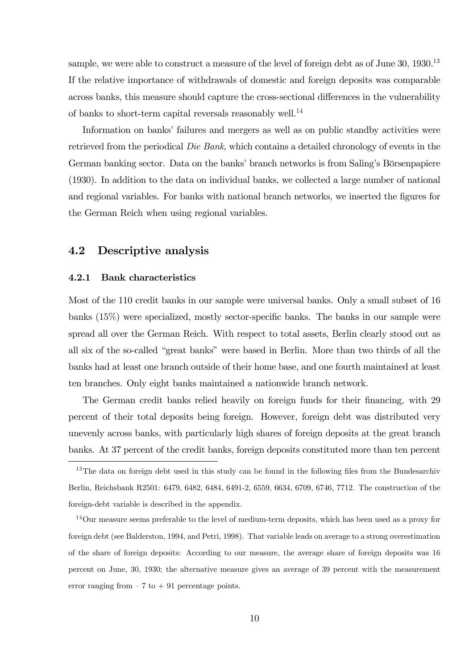sample, we were able to construct a measure of the level of foreign debt as of June 30, 1930.<sup>13</sup> If the relative importance of withdrawals of domestic and foreign deposits was comparable across banks, this measure should capture the cross-sectional differences in the vulnerability of banks to short-term capital reversals reasonably well.14

Information on banks' failures and mergers as well as on public standby activities were retrieved from the periodical Die Bank, which contains a detailed chronology of events in the German banking sector. Data on the banks' branch networks is from Saling's Börsenpapiere (1930). In addition to the data on individual banks, we collected a large number of national and regional variables. For banks with national branch networks, we inserted the figures for the German Reich when using regional variables.

#### 4.2 Descriptive analysis

#### 4.2.1 Bank characteristics

Most of the 110 credit banks in our sample were universal banks. Only a small subset of 16 banks (15%) were specialized, mostly sector-specific banks. The banks in our sample were spread all over the German Reich. With respect to total assets, Berlin clearly stood out as all six of the so-called "great banks" were based in Berlin. More than two thirds of all the banks had at least one branch outside of their home base, and one fourth maintained at least ten branches. Only eight banks maintained a nationwide branch network.

The German credit banks relied heavily on foreign funds for their financing, with 29 percent of their total deposits being foreign. However, foreign debt was distributed very unevenly across banks, with particularly high shares of foreign deposits at the great branch banks. At 37 percent of the credit banks, foreign deposits constituted more than ten percent

<sup>&</sup>lt;sup>13</sup>The data on foreign debt used in this study can be found in the following files from the Bundesarchiv Berlin, Reichsbank R2501: 6479, 6482, 6484, 6491-2, 6559, 6634, 6709, 6746, 7712. The construction of the foreign-debt variable is described in the appendix.

<sup>14</sup>Our measure seems preferable to the level of medium-term deposits, which has been used as a proxy for foreign debt (see Balderston, 1994, and Petri, 1998). That variable leads on average to a strong overestimation of the share of foreign deposits: According to our measure, the average share of foreign deposits was 16 percent on June, 30, 1930; the alternative measure gives an average of 39 percent with the measurement error ranging from  $-7$  to  $+$  91 percentage points.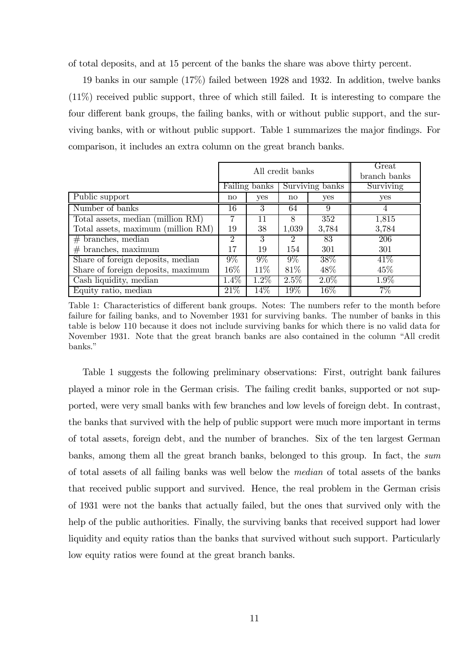of total deposits, and at 15 percent of the banks the share was above thirty percent.

19 banks in our sample (17%) failed between 1928 and 1932. In addition, twelve banks (11%) received public support, three of which still failed. It is interesting to compare the four different bank groups, the failing banks, with or without public support, and the surviving banks, with or without public support. Table 1 summarizes the major findings. For comparison, it includes an extra column on the great branch banks.

|                                    |                             | All credit banks | Great<br>branch banks       |                 |           |
|------------------------------------|-----------------------------|------------------|-----------------------------|-----------------|-----------|
|                                    |                             | Failing banks    |                             | Surviving banks | Surviving |
| Public support                     | $\mathbf{n}$                | <b>ves</b>       | $\mathbf{n}\mathbf{o}$      | yes             | yes       |
| Number of banks                    | 16                          | 3                | 64                          | 9               | 4         |
| Total assets, median (million RM)  |                             | 11               | 8                           | 352             | 1,815     |
| Total assets, maximum (million RM) | 19                          | 38               | 1,039                       | 3,784           | 3,784     |
| $#$ branches, median               | $\mathcal{D}_{\mathcal{L}}$ | 3                | $\mathcal{D}_{\mathcal{L}}$ | 83              | 206       |
| $#$ branches, maximum              | 17                          | 19               | 154                         | 301             | 301       |
| Share of foreign deposits, median  | $9\%$                       | $9\%$            | $9\%$                       | 38\%            | 41\%      |
| Share of foreign deposits, maximum | $16\%$                      | 11\%             | 81\%                        | 48\%            | 45\%      |
| Cash liquidity, median             | $1.4\%$                     | $1.2\%$          | $2.5\%$                     | $2.0\%$         | $1.9\%$   |
| Equity ratio, median               | 21\%                        | 14%              | $19\%$                      | 16%             | 7%        |

Table 1: Characteristics of different bank groups. Notes: The numbers refer to the month before failure for failing banks, and to November 1931 for surviving banks. The number of banks in this table is below 110 because it does not include surviving banks for which there is no valid data for November 1931. Note that the great branch banks are also contained in the column "All credit" banks."

Table 1 suggests the following preliminary observations: First, outright bank failures played a minor role in the German crisis. The failing credit banks, supported or not supported, were very small banks with few branches and low levels of foreign debt. In contrast, the banks that survived with the help of public support were much more important in terms of total assets, foreign debt, and the number of branches. Six of the ten largest German banks, among them all the great branch banks, belonged to this group. In fact, the sum of total assets of all failing banks was well below the median of total assets of the banks that received public support and survived. Hence, the real problem in the German crisis of 1931 were not the banks that actually failed, but the ones that survived only with the help of the public authorities. Finally, the surviving banks that received support had lower liquidity and equity ratios than the banks that survived without such support. Particularly low equity ratios were found at the great branch banks.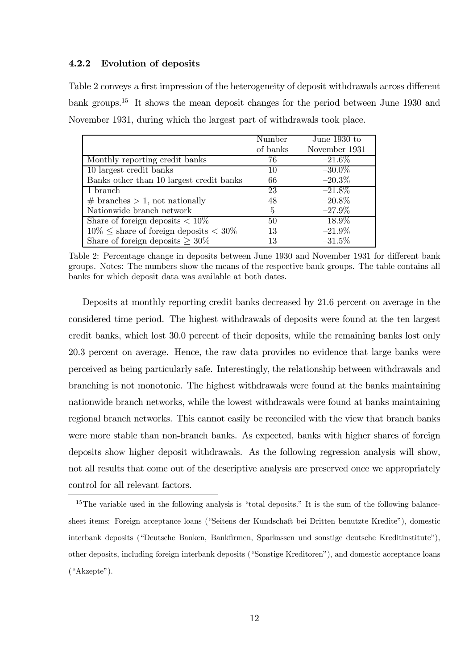#### 4.2.2 Evolution of deposits

Table 2 conveys a first impression of the heterogeneity of deposit withdrawals across different bank groups.15 It shows the mean deposit changes for the period between June 1930 and November 1931, during which the largest part of withdrawals took place.

|                                          | Number   | June $1930$ to |
|------------------------------------------|----------|----------------|
|                                          | of banks | November 1931  |
| Monthly reporting credit banks           | 76       | $-21.6\%$      |
| 10 largest credit banks                  | 10       | $-30.0\%$      |
| Banks other than 10 largest credit banks | 66       | $-20.3\%$      |
| 1 branch                                 | 23       | $-21.8\%$      |
| $#$ branches $> 1$ , not nationally      | 48       | $-20.8\%$      |
| Nationwide branch network                | 5        | $-27.9\%$      |
| Share of foreign deposits $< 10\%$       | 50       | $-18.9\%$      |
| $10\%$ < share of foreign deposits < 30% | 13       | $-21.9\%$      |
| Share of foreign deposits $>30\%$        | 13       | $-31.5\%$      |

Table 2: Percentage change in deposits between June 1930 and November 1931 for different bank groups. Notes: The numbers show the means of the respective bank groups. The table contains all banks for which deposit data was available at both dates.

Deposits at monthly reporting credit banks decreased by 21.6 percent on average in the considered time period. The highest withdrawals of deposits were found at the ten largest credit banks, which lost 30.0 percent of their deposits, while the remaining banks lost only 20.3 percent on average. Hence, the raw data provides no evidence that large banks were perceived as being particularly safe. Interestingly, the relationship between withdrawals and branching is not monotonic. The highest withdrawals were found at the banks maintaining nationwide branch networks, while the lowest withdrawals were found at banks maintaining regional branch networks. This cannot easily be reconciled with the view that branch banks were more stable than non-branch banks. As expected, banks with higher shares of foreign deposits show higher deposit withdrawals. As the following regression analysis will show, not all results that come out of the descriptive analysis are preserved once we appropriately control for all relevant factors.

 $15$ The variable used in the following analysis is "total deposits." It is the sum of the following balancesheet items: Foreign acceptance loans ("Seitens der Kundschaft bei Dritten benutzte Kredite"), domestic interbank deposits ("Deutsche Banken, Bankfirmen, Sparkassen und sonstige deutsche Kreditinstitute"), other deposits, including foreign interbank deposits ("Sonstige Kreditoren"), and domestic acceptance loans  $(*Akzepte").$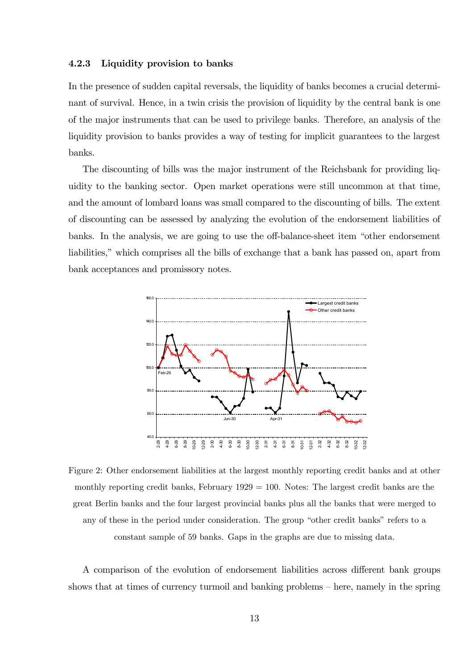#### 4.2.3 Liquidity provision to banks

In the presence of sudden capital reversals, the liquidity of banks becomes a crucial determinant of survival. Hence, in a twin crisis the provision of liquidity by the central bank is one of the major instruments that can be used to privilege banks. Therefore, an analysis of the liquidity provision to banks provides a way of testing for implicit guarantees to the largest banks.

The discounting of bills was the major instrument of the Reichsbank for providing liquidity to the banking sector. Open market operations were still uncommon at that time, and the amount of lombard loans was small compared to the discounting of bills. The extent of discounting can be assessed by analyzing the evolution of the endorsement liabilities of banks. In the analysis, we are going to use the off-balance-sheet item "other endorsement" liabilities," which comprises all the bills of exchange that a bank has passed on, apart from bank acceptances and promissory notes.



Figure 2: Other endorsement liabilities at the largest monthly reporting credit banks and at other monthly reporting credit banks, February  $1929 = 100$ . Notes: The largest credit banks are the great Berlin banks and the four largest provincial banks plus all the banks that were merged to any of these in the period under consideration. The group "other credit banks" refers to a constant sample of 59 banks. Gaps in the graphs are due to missing data.

A comparison of the evolution of endorsement liabilities across different bank groups shows that at times of currency turmoil and banking problems  $-$  here, namely in the spring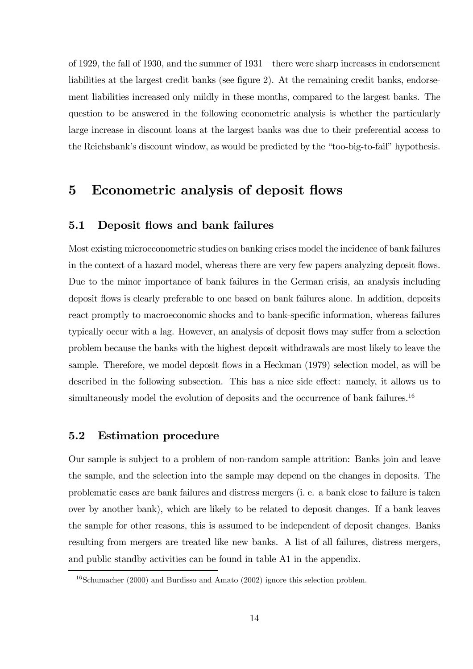of 1929, the fall of 1930, and the summer of  $1931$  – there were sharp increases in endorsement liabilities at the largest credit banks (see figure 2). At the remaining credit banks, endorsement liabilities increased only mildly in these months, compared to the largest banks. The question to be answered in the following econometric analysis is whether the particularly large increase in discount loans at the largest banks was due to their preferential access to the Reichsbank's discount window, as would be predicted by the "too-big-to-fail" hypothesis.

## 5 Econometric analysis of deposit flows

#### 5.1 Deposit flows and bank failures

Most existing microeconometric studies on banking crises model the incidence of bank failures in the context of a hazard model, whereas there are very few papers analyzing deposit flows. Due to the minor importance of bank failures in the German crisis, an analysis including deposit flows is clearly preferable to one based on bank failures alone. In addition, deposits react promptly to macroeconomic shocks and to bank-specific information, whereas failures typically occur with a lag. However, an analysis of deposit flows may suffer from a selection problem because the banks with the highest deposit withdrawals are most likely to leave the sample. Therefore, we model deposit flows in a Heckman (1979) selection model, as will be described in the following subsection. This has a nice side effect: namely, it allows us to simultaneously model the evolution of deposits and the occurrence of bank failures.<sup>16</sup>

#### 5.2 Estimation procedure

Our sample is subject to a problem of non-random sample attrition: Banks join and leave the sample, and the selection into the sample may depend on the changes in deposits. The problematic cases are bank failures and distress mergers (i. e. a bank close to failure is taken over by another bank), which are likely to be related to deposit changes. If a bank leaves the sample for other reasons, this is assumed to be independent of deposit changes. Banks resulting from mergers are treated like new banks. A list of all failures, distress mergers, and public standby activities can be found in table A1 in the appendix.

<sup>&</sup>lt;sup>16</sup>Schumacher (2000) and Burdisso and Amato (2002) ignore this selection problem.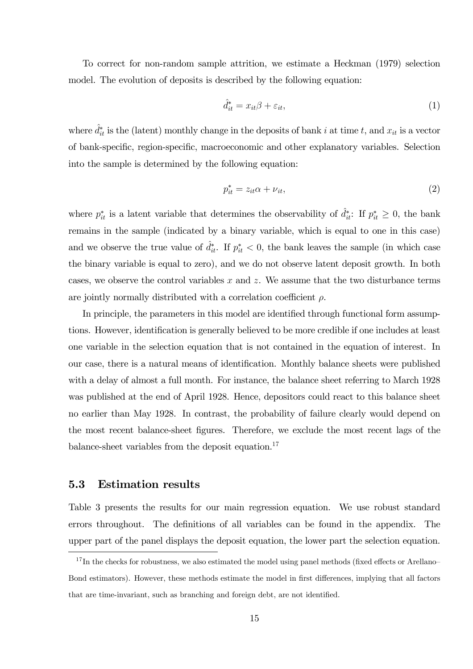To correct for non-random sample attrition, we estimate a Heckman (1979) selection model. The evolution of deposits is described by the following equation:

$$
\hat{d}_{it}^* = x_{it}\beta + \varepsilon_{it},\tag{1}
$$

where  $\hat{d}_{it}^*$  is the (latent) monthly change in the deposits of bank i at time t, and  $x_{it}$  is a vector of bank-specific, region-specific, macroeconomic and other explanatory variables. Selection into the sample is determined by the following equation:

$$
p_{it}^* = z_{it}\alpha + \nu_{it},\tag{2}
$$

where  $p_{it}^*$  is a latent variable that determines the observability of  $\hat{d}_{it}^*$ : If  $p_{it}^* \geq 0$ , the bank remains in the sample (indicated by a binary variable, which is equal to one in this case) and we observe the true value of  $\hat{d}_{it}^*$ . If  $p_{it}^* < 0$ , the bank leaves the sample (in which case the binary variable is equal to zero), and we do not observe latent deposit growth. In both cases, we observe the control variables x and z. We assume that the two disturbance terms are jointly normally distributed with a correlation coefficient  $\rho$ .

In principle, the parameters in this model are identified through functional form assumptions. However, identification is generally believed to be more credible if one includes at least one variable in the selection equation that is not contained in the equation of interest. In our case, there is a natural means of identification. Monthly balance sheets were published with a delay of almost a full month. For instance, the balance sheet referring to March 1928 was published at the end of April 1928. Hence, depositors could react to this balance sheet no earlier than May 1928. In contrast, the probability of failure clearly would depend on the most recent balance-sheet figures. Therefore, we exclude the most recent lags of the balance-sheet variables from the deposit equation.<sup>17</sup>

#### 5.3 Estimation results

Table 3 presents the results for our main regression equation. We use robust standard errors throughout. The definitions of all variables can be found in the appendix. The upper part of the panel displays the deposit equation, the lower part the selection equation.

 $17$ In the checks for robustness, we also estimated the model using panel methods (fixed effects or Arellano– Bond estimators). However, these methods estimate the model in first differences, implying that all factors that are time-invariant, such as branching and foreign debt, are not identified.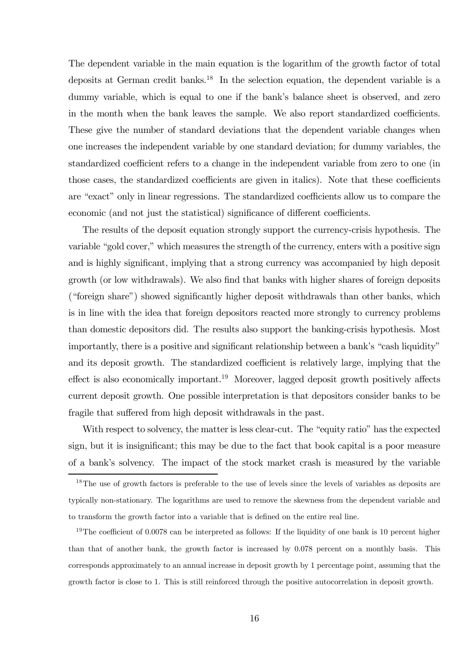The dependent variable in the main equation is the logarithm of the growth factor of total deposits at German credit banks.<sup>18</sup> In the selection equation, the dependent variable is a dummy variable, which is equal to one if the bank's balance sheet is observed, and zero in the month when the bank leaves the sample. We also report standardized coefficients. These give the number of standard deviations that the dependent variable changes when one increases the independent variable by one standard deviation; for dummy variables, the standardized coefficient refers to a change in the independent variable from zero to one (in those cases, the standardized coefficients are given in italics). Note that these coefficients are "exact" only in linear regressions. The standardized coefficients allow us to compare the economic (and not just the statistical) significance of different coefficients.

The results of the deposit equation strongly support the currency-crisis hypothesis. The variable "gold cover," which measures the strength of the currency, enters with a positive sign and is highly significant, implying that a strong currency was accompanied by high deposit growth (or low withdrawals). We also find that banks with higher shares of foreign deposits ("foreign share") showed significantly higher deposit withdrawals than other banks, which is in line with the idea that foreign depositors reacted more strongly to currency problems than domestic depositors did. The results also support the banking-crisis hypothesis. Most importantly, there is a positive and significant relationship between a bank's "cash liquidity" and its deposit growth. The standardized coefficient is relatively large, implying that the effect is also economically important.<sup>19</sup> Moreover, lagged deposit growth positively affects current deposit growth. One possible interpretation is that depositors consider banks to be fragile that suffered from high deposit withdrawals in the past.

With respect to solvency, the matter is less clear-cut. The "equity ratio" has the expected sign, but it is insignificant; this may be due to the fact that book capital is a poor measure of a bankís solvency. The impact of the stock market crash is measured by the variable

<sup>&</sup>lt;sup>18</sup>The use of growth factors is preferable to the use of levels since the levels of variables as deposits are typically non-stationary. The logarithms are used to remove the skewness from the dependent variable and to transform the growth factor into a variable that is defined on the entire real line.

<sup>&</sup>lt;sup>19</sup>The coefficient of 0.0078 can be interpreted as follows: If the liquidity of one bank is 10 percent higher than that of another bank, the growth factor is increased by 0.078 percent on a monthly basis. This corresponds approximately to an annual increase in deposit growth by 1 percentage point, assuming that the growth factor is close to 1. This is still reinforced through the positive autocorrelation in deposit growth.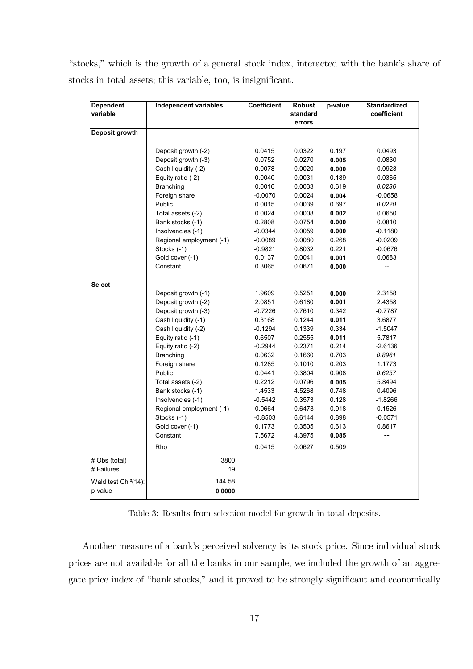"stocks," which is the growth of a general stock index, interacted with the bank's share of stocks in total assets; this variable, too, is insignificant.

| <b>Dependent</b>                            | Independent variables    | <b>Coefficient</b> | <b>Robust</b>      | p-value | <b>Standardized</b> |
|---------------------------------------------|--------------------------|--------------------|--------------------|---------|---------------------|
| variable                                    |                          |                    | standard<br>errors |         | coefficient         |
| Deposit growth                              |                          |                    |                    |         |                     |
|                                             |                          |                    |                    |         |                     |
|                                             | Deposit growth (-2)      | 0.0415             | 0.0322             | 0.197   | 0.0493              |
|                                             | Deposit growth (-3)      | 0.0752             | 0.0270             | 0.005   | 0.0830              |
|                                             | Cash liquidity (-2)      | 0.0078             | 0.0020             | 0.000   | 0.0923              |
|                                             | Equity ratio (-2)        | 0.0040             | 0.0031             | 0.189   | 0.0365              |
|                                             | <b>Branching</b>         | 0.0016             | 0.0033             | 0.619   | 0.0236              |
|                                             | Foreign share            | $-0.0070$          | 0.0024             | 0.004   | $-0.0658$           |
|                                             | Public                   | 0.0015             | 0.0039             | 0.697   | 0.0220              |
|                                             | Total assets (-2)        | 0.0024             | 0.0008             | 0.002   | 0.0650              |
|                                             | Bank stocks (-1)         | 0.2808             | 0.0754             | 0.000   | 0.0810              |
|                                             | Insolvencies (-1)        | $-0.0344$          | 0.0059             | 0.000   | $-0.1180$           |
|                                             | Regional employment (-1) | $-0.0089$          | 0.0080             | 0.268   | $-0.0209$           |
|                                             | Stocks $(-1)$            | $-0.9821$          | 0.8032             | 0.221   | $-0.0676$           |
|                                             | Gold cover (-1)          | 0.0137             | 0.0041             | 0.001   | 0.0683              |
|                                             | Constant                 | 0.3065             | 0.0671             | 0.000   |                     |
| <b>Select</b>                               |                          |                    |                    |         |                     |
|                                             | Deposit growth (-1)      | 1.9609             | 0.5251             | 0.000   | 2.3158              |
|                                             | Deposit growth (-2)      | 2.0851             | 0.6180             | 0.001   | 2.4358              |
|                                             | Deposit growth (-3)      | $-0.7226$          | 0.7610             | 0.342   | $-0.7787$           |
|                                             | Cash liquidity (-1)      | 0.3168             | 0.1244             | 0.011   | 3.6877              |
|                                             | Cash liquidity (-2)      | $-0.1294$          | 0.1339             | 0.334   | $-1.5047$           |
|                                             | Equity ratio (-1)        | 0.6507             | 0.2555             | 0.011   | 5.7817              |
|                                             | Equity ratio (-2)        | $-0.2944$          | 0.2371             | 0.214   | -2.6136             |
|                                             | <b>Branching</b>         | 0.0632             | 0.1660             | 0.703   | 0.8961              |
|                                             | Foreign share            | 0.1285             | 0.1010             | 0.203   | 1.1773              |
|                                             | Public                   | 0.0441             | 0.3804             | 0.908   | 0.6257              |
|                                             | Total assets (-2)        | 0.2212             | 0.0796             | 0.005   | 5.8494              |
|                                             | Bank stocks (-1)         | 1.4533             | 4.5268             | 0.748   | 0.4096              |
|                                             | Insolvencies (-1)        | $-0.5442$          | 0.3573             | 0.128   | $-1.8266$           |
|                                             | Regional employment (-1) | 0.0664             | 0.6473             | 0.918   | 0.1526              |
|                                             | Stocks $(-1)$            | $-0.8503$          | 6.6144             | 0.898   | $-0.0571$           |
|                                             | Gold cover (-1)          | 0.1773             | 0.3505             | 0.613   | 0.8617              |
|                                             | Constant                 | 7.5672             | 4.3975             | 0.085   |                     |
|                                             | Rho                      | 0.0415             | 0.0627             | 0.509   |                     |
| # Obs (total)                               | 3800                     |                    |                    |         |                     |
| # Failures                                  | 19                       |                    |                    |         |                     |
| Wald test Chi <sup>2</sup> (14):<br>p-value | 144.58<br>0.0000         |                    |                    |         |                     |

Table 3: Results from selection model for growth in total deposits.

Another measure of a bank's perceived solvency is its stock price. Since individual stock prices are not available for all the banks in our sample, we included the growth of an aggregate price index of "bank stocks," and it proved to be strongly significant and economically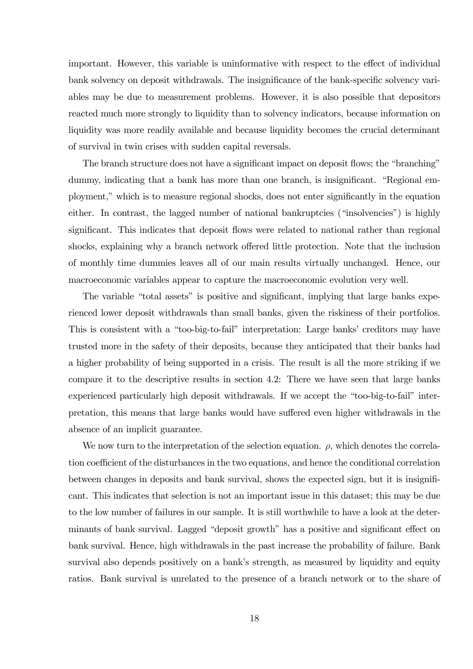important. However, this variable is uninformative with respect to the effect of individual bank solvency on deposit withdrawals. The insignificance of the bank-specific solvency variables may be due to measurement problems. However, it is also possible that depositors reacted much more strongly to liquidity than to solvency indicators, because information on liquidity was more readily available and because liquidity becomes the crucial determinant of survival in twin crises with sudden capital reversals.

The branch structure does not have a significant impact on deposit flows; the "branching" dummy, indicating that a bank has more than one branch, is insignificant. "Regional employment," which is to measure regional shocks, does not enter significantly in the equation either. In contrast, the lagged number of national bankruptcies ("insolvencies") is highly significant. This indicates that deposit flows were related to national rather than regional shocks, explaining why a branch network offered little protection. Note that the inclusion of monthly time dummies leaves all of our main results virtually unchanged. Hence, our macroeconomic variables appear to capture the macroeconomic evolution very well.

The variable "total assets" is positive and significant, implying that large banks experienced lower deposit withdrawals than small banks, given the riskiness of their portfolios. This is consistent with a "too-big-to-fail" interpretation: Large banks' creditors may have trusted more in the safety of their deposits, because they anticipated that their banks had a higher probability of being supported in a crisis. The result is all the more striking if we compare it to the descriptive results in section 4.2: There we have seen that large banks experienced particularly high deposit withdrawals. If we accept the "too-big-to-fail" interpretation, this means that large banks would have suffered even higher withdrawals in the absence of an implicit guarantee.

We now turn to the interpretation of the selection equation.  $\rho$ , which denotes the correlation coefficient of the disturbances in the two equations, and hence the conditional correlation between changes in deposits and bank survival, shows the expected sign, but it is insignificant. This indicates that selection is not an important issue in this dataset; this may be due to the low number of failures in our sample. It is still worthwhile to have a look at the determinants of bank survival. Lagged "deposit growth" has a positive and significant effect on bank survival. Hence, high withdrawals in the past increase the probability of failure. Bank survival also depends positively on a bank's strength, as measured by liquidity and equity ratios. Bank survival is unrelated to the presence of a branch network or to the share of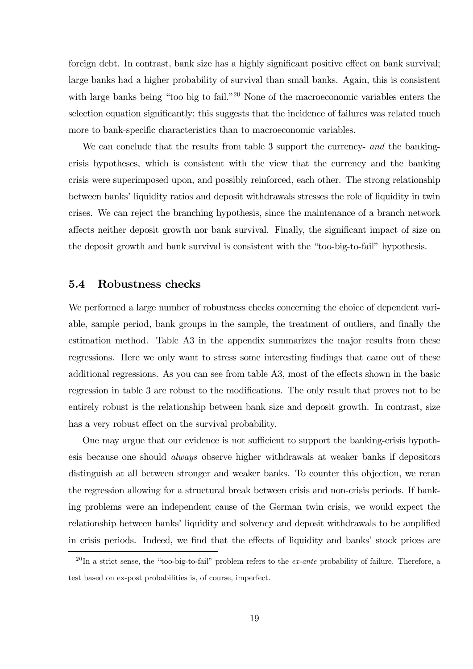foreign debt. In contrast, bank size has a highly significant positive effect on bank survival; large banks had a higher probability of survival than small banks. Again, this is consistent with large banks being "too big to fail.<sup>"20</sup> None of the macroeconomic variables enters the selection equation significantly; this suggests that the incidence of failures was related much more to bank-specific characteristics than to macroeconomic variables.

We can conclude that the results from table 3 support the currency- and the bankingcrisis hypotheses, which is consistent with the view that the currency and the banking crisis were superimposed upon, and possibly reinforced, each other. The strong relationship between banks' liquidity ratios and deposit withdrawals stresses the role of liquidity in twin crises. We can reject the branching hypothesis, since the maintenance of a branch network affects neither deposit growth nor bank survival. Finally, the significant impact of size on the deposit growth and bank survival is consistent with the "too-big-to-fail" hypothesis.

#### 5.4 Robustness checks

We performed a large number of robustness checks concerning the choice of dependent variable, sample period, bank groups in the sample, the treatment of outliers, and finally the estimation method. Table A3 in the appendix summarizes the major results from these regressions. Here we only want to stress some interesting findings that came out of these additional regressions. As you can see from table A3, most of the effects shown in the basic regression in table 3 are robust to the modifications. The only result that proves not to be entirely robust is the relationship between bank size and deposit growth. In contrast, size has a very robust effect on the survival probability.

One may argue that our evidence is not sufficient to support the banking-crisis hypothesis because one should always observe higher withdrawals at weaker banks if depositors distinguish at all between stronger and weaker banks. To counter this objection, we reran the regression allowing for a structural break between crisis and non-crisis periods. If banking problems were an independent cause of the German twin crisis, we would expect the relationship between banks' liquidity and solvency and deposit withdrawals to be amplified in crisis periods. Indeed, we find that the effects of liquidity and banks' stock prices are

 $^{20}$ In a strict sense, the "too-big-to-fail" problem refers to the *ex-ante* probability of failure. Therefore, a test based on ex-post probabilities is, of course, imperfect.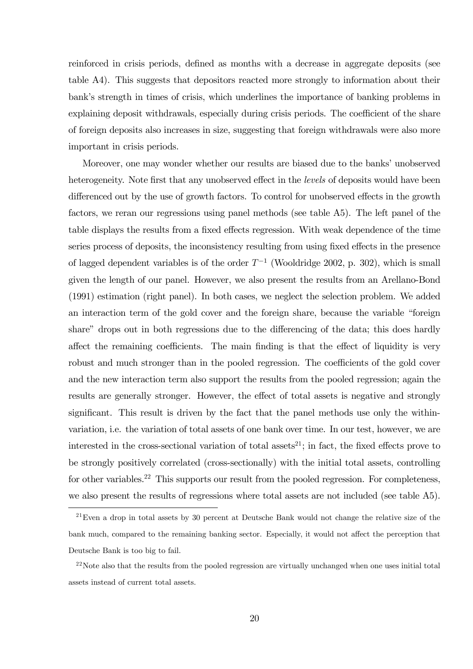reinforced in crisis periods, defined as months with a decrease in aggregate deposits (see table A4). This suggests that depositors reacted more strongly to information about their bank's strength in times of crisis, which underlines the importance of banking problems in explaining deposit withdrawals, especially during crisis periods. The coefficient of the share of foreign deposits also increases in size, suggesting that foreign withdrawals were also more important in crisis periods.

Moreover, one may wonder whether our results are biased due to the banks' unobserved heterogeneity. Note first that any unobserved effect in the *levels* of deposits would have been differenced out by the use of growth factors. To control for unobserved effects in the growth factors, we reran our regressions using panel methods (see table A5). The left panel of the table displays the results from a fixed effects regression. With weak dependence of the time series process of deposits, the inconsistency resulting from using fixed effects in the presence of lagged dependent variables is of the order  $T^{-1}$  (Wooldridge 2002, p. 302), which is small given the length of our panel. However, we also present the results from an Arellano-Bond (1991) estimation (right panel). In both cases, we neglect the selection problem. We added an interaction term of the gold cover and the foreign share, because the variable "foreign share" drops out in both regressions due to the differencing of the data; this does hardly affect the remaining coefficients. The main finding is that the effect of liquidity is very robust and much stronger than in the pooled regression. The coefficients of the gold cover and the new interaction term also support the results from the pooled regression; again the results are generally stronger. However, the effect of total assets is negative and strongly significant. This result is driven by the fact that the panel methods use only the withinvariation, i.e. the variation of total assets of one bank over time. In our test, however, we are interested in the cross-sectional variation of total assets<sup>21</sup>; in fact, the fixed effects prove to be strongly positively correlated (cross-sectionally) with the initial total assets, controlling for other variables.<sup>22</sup> This supports our result from the pooled regression. For completeness, we also present the results of regressions where total assets are not included (see table A5).

 $21$ Even a drop in total assets by 30 percent at Deutsche Bank would not change the relative size of the bank much, compared to the remaining banking sector. Especially, it would not affect the perception that Deutsche Bank is too big to fail.

 $22$ Note also that the results from the pooled regression are virtually unchanged when one uses initial total assets instead of current total assets.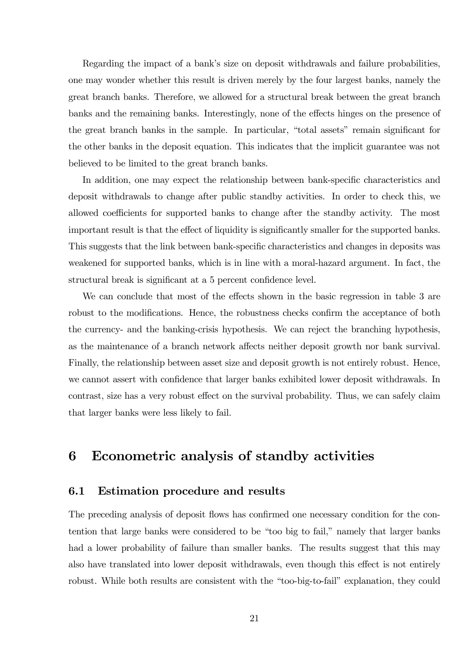Regarding the impact of a bank's size on deposit withdrawals and failure probabilities, one may wonder whether this result is driven merely by the four largest banks, namely the great branch banks. Therefore, we allowed for a structural break between the great branch banks and the remaining banks. Interestingly, none of the effects hinges on the presence of the great branch banks in the sample. In particular, "total assets" remain significant for the other banks in the deposit equation. This indicates that the implicit guarantee was not believed to be limited to the great branch banks.

In addition, one may expect the relationship between bank-specific characteristics and deposit withdrawals to change after public standby activities. In order to check this, we allowed coefficients for supported banks to change after the standby activity. The most important result is that the effect of liquidity is significantly smaller for the supported banks. This suggests that the link between bank-specific characteristics and changes in deposits was weakened for supported banks, which is in line with a moral-hazard argument. In fact, the structural break is significant at a 5 percent confidence level.

We can conclude that most of the effects shown in the basic regression in table 3 are robust to the modifications. Hence, the robustness checks confirm the acceptance of both the currency- and the banking-crisis hypothesis. We can reject the branching hypothesis, as the maintenance of a branch network affects neither deposit growth nor bank survival. Finally, the relationship between asset size and deposit growth is not entirely robust. Hence, we cannot assert with confidence that larger banks exhibited lower deposit withdrawals. In contrast, size has a very robust effect on the survival probability. Thus, we can safely claim that larger banks were less likely to fail.

## 6 Econometric analysis of standby activities

#### 6.1 Estimation procedure and results

The preceding analysis of deposit flows has confirmed one necessary condition for the contention that large banks were considered to be "too big to fail," namely that larger banks had a lower probability of failure than smaller banks. The results suggest that this may also have translated into lower deposit withdrawals, even though this effect is not entirely robust. While both results are consistent with the "too-big-to-fail" explanation, they could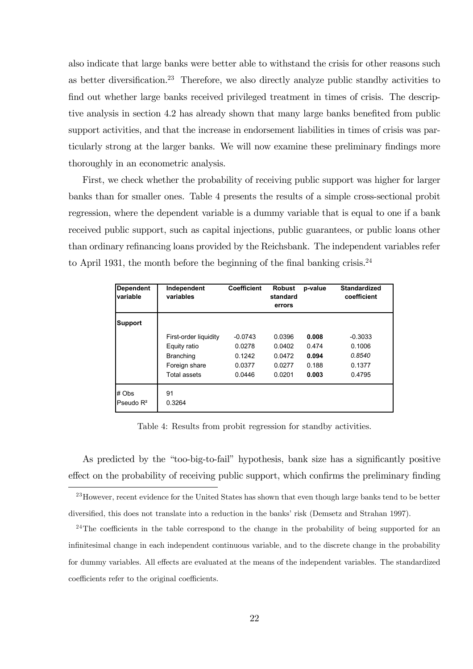also indicate that large banks were better able to withstand the crisis for other reasons such as better diversification.<sup>23</sup> Therefore, we also directly analyze public standby activities to find out whether large banks received privileged treatment in times of crisis. The descriptive analysis in section 4.2 has already shown that many large banks benefited from public support activities, and that the increase in endorsement liabilities in times of crisis was particularly strong at the larger banks. We will now examine these preliminary findings more thoroughly in an econometric analysis.

First, we check whether the probability of receiving public support was higher for larger banks than for smaller ones. Table 4 presents the results of a simple cross-sectional probit regression, where the dependent variable is a dummy variable that is equal to one if a bank received public support, such as capital injections, public guarantees, or public loans other than ordinary refinancing loans provided by the Reichsbank. The independent variables refer to April 1931, the month before the beginning of the final banking crisis. $24$ 

| <b>Dependent</b><br>variable | Independent<br>variables | <b>Coefficient</b> | <b>Robust</b><br>standard<br>errors | p-value | <b>Standardized</b><br>coefficient |
|------------------------------|--------------------------|--------------------|-------------------------------------|---------|------------------------------------|
| <b>Support</b>               |                          |                    |                                     |         |                                    |
|                              | First-order liquidity    | $-0.0743$          | 0.0396                              | 0.008   | $-0.3033$                          |
|                              | Equity ratio             | 0.0278             | 0.0402                              | 0.474   | 0.1006                             |
|                              | <b>Branching</b>         | 0.1242             | 0.0472                              | 0.094   | 0.8540                             |
|                              | Foreign share            | 0.0377             | 0.0277                              | 0.188   | 0.1377                             |
|                              | Total assets             | 0.0446             | 0.0201                              | 0.003   | 0.4795                             |
| # Obs<br>Pseudo $R^2$        | 91<br>0.3264             |                    |                                     |         |                                    |

Table 4: Results from probit regression for standby activities.

As predicted by the "too-big-to-fail" hypothesis, bank size has a significantly positive effect on the probability of receiving public support, which confirms the preliminary finding

<sup>&</sup>lt;sup>23</sup>However, recent evidence for the United States has shown that even though large banks tend to be better diversified, this does not translate into a reduction in the banks' risk (Demsetz and Strahan 1997).

 $24$ The coefficients in the table correspond to the change in the probability of being supported for an infinitesimal change in each independent continuous variable, and to the discrete change in the probability for dummy variables. All effects are evaluated at the means of the independent variables. The standardized coefficients refer to the original coefficients.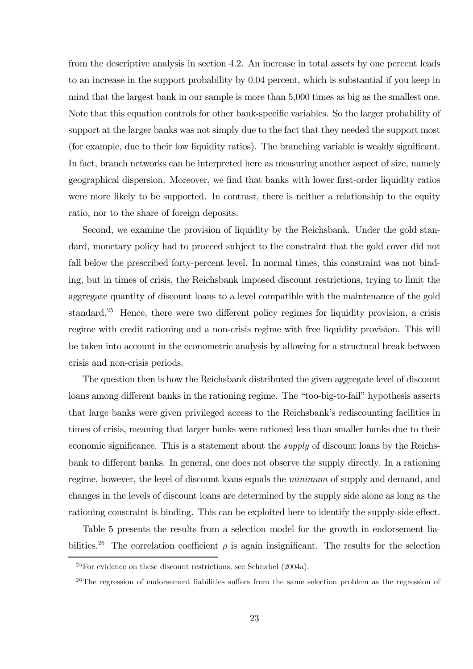from the descriptive analysis in section 4.2. An increase in total assets by one percent leads to an increase in the support probability by 0.04 percent, which is substantial if you keep in mind that the largest bank in our sample is more than 5,000 times as big as the smallest one. Note that this equation controls for other bank-specific variables. So the larger probability of support at the larger banks was not simply due to the fact that they needed the support most (for example, due to their low liquidity ratios). The branching variable is weakly significant. In fact, branch networks can be interpreted here as measuring another aspect of size, namely geographical dispersion. Moreover, we find that banks with lower first-order liquidity ratios were more likely to be supported. In contrast, there is neither a relationship to the equity ratio, nor to the share of foreign deposits.

Second, we examine the provision of liquidity by the Reichsbank. Under the gold standard, monetary policy had to proceed subject to the constraint that the gold cover did not fall below the prescribed forty-percent level. In normal times, this constraint was not binding, but in times of crisis, the Reichsbank imposed discount restrictions, trying to limit the aggregate quantity of discount loans to a level compatible with the maintenance of the gold standard.25 Hence, there were two different policy regimes for liquidity provision, a crisis regime with credit rationing and a non-crisis regime with free liquidity provision. This will be taken into account in the econometric analysis by allowing for a structural break between crisis and non-crisis periods.

The question then is how the Reichsbank distributed the given aggregate level of discount loans among different banks in the rationing regime. The "too-big-to-fail" hypothesis asserts that large banks were given privileged access to the Reichsbank's rediscounting facilities in times of crisis, meaning that larger banks were rationed less than smaller banks due to their economic significance. This is a statement about the supply of discount loans by the Reichsbank to different banks. In general, one does not observe the supply directly. In a rationing regime, however, the level of discount loans equals the *minimum* of supply and demand, and changes in the levels of discount loans are determined by the supply side alone as long as the rationing constraint is binding. This can be exploited here to identify the supply-side effect.

Table 5 presents the results from a selection model for the growth in endorsement liabilities.<sup>26</sup> The correlation coefficient  $\rho$  is again insignificant. The results for the selection

 $^{25}$ For evidence on these discount restrictions, see Schnabel (2004a).

 $^{26}$ The regression of endorsement liabilities suffers from the same selection problem as the regression of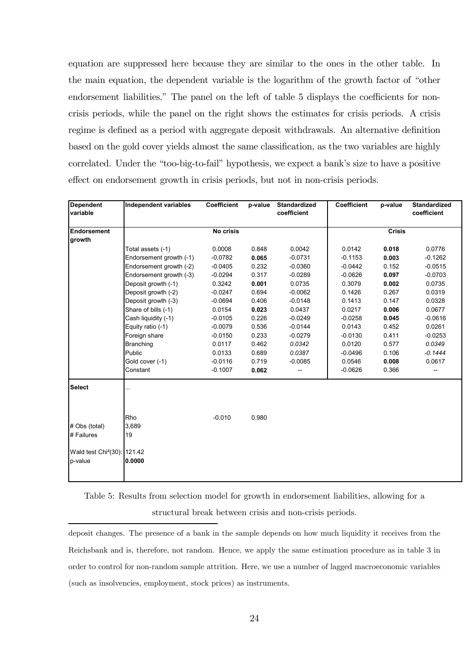equation are suppressed here because they are similar to the ones in the other table. In the main equation, the dependent variable is the logarithm of the growth factor of "other endorsement liabilities." The panel on the left of table 5 displays the coefficients for noncrisis periods, while the panel on the right shows the estimates for crisis periods. A crisis regime is defined as a period with aggregate deposit withdrawals. An alternative definition based on the gold cover yields almost the same classification, as the two variables are highly correlated. Under the "too-big-to-fail" hypothesis, we expect a bank's size to have a positive effect on endorsement growth in crisis periods, but not in non-crisis periods.

| <b>Dependent</b><br>variable            | Independent variables   | <b>Coefficient</b> | p-value | <b>Standardized</b><br>coefficient | <b>Coefficient</b> | p-value       | <b>Standardized</b><br>coefficient |
|-----------------------------------------|-------------------------|--------------------|---------|------------------------------------|--------------------|---------------|------------------------------------|
| <b>Endorsement</b>                      |                         | No crisis          |         |                                    |                    | <b>Crisis</b> |                                    |
| growth                                  |                         |                    |         |                                    |                    |               |                                    |
|                                         | Total assets (-1)       | 0.0008             | 0.848   | 0.0042                             | 0.0142             | 0.018         | 0.0776                             |
|                                         | Endorsement growth (-1) | $-0.0782$          | 0.065   | $-0.0731$                          | $-0.1153$          | 0.003         | $-0.1262$                          |
|                                         | Endorsement growth (-2) | $-0.0405$          | 0.232   | $-0.0360$                          | $-0.0442$          | 0.152         | $-0.0515$                          |
|                                         | Endorsement growth (-3) | $-0.0294$          | 0.317   | $-0.0289$                          | $-0.0626$          | 0.097         | $-0.0703$                          |
|                                         | Deposit growth (-1)     | 0.3242             | 0.001   | 0.0735                             | 0.3079             | 0.002         | 0.0735                             |
|                                         | Deposit growth (-2)     | $-0.0247$          | 0.694   | $-0.0062$                          | 0.1426             | 0.267         | 0.0319                             |
|                                         | Deposit growth (-3)     | $-0.0694$          | 0.406   | $-0.0148$                          | 0.1413             | 0.147         | 0.0328                             |
|                                         | Share of bills (-1)     | 0.0154             | 0.023   | 0.0437                             | 0.0217             | 0.006         | 0.0677                             |
|                                         | Cash liquidity (-1)     | $-0.0105$          | 0.226   | $-0.0249$                          | $-0.0258$          | 0.045         | $-0.0616$                          |
|                                         | Equity ratio (-1)       | $-0.0079$          | 0.536   | $-0.0144$                          | 0.0143             | 0.452         | 0.0261                             |
|                                         | Foreign share           | $-0.0150$          | 0.233   | $-0.0279$                          | $-0.0130$          | 0.411         | $-0.0253$                          |
|                                         | Branching               | 0.0117             | 0.462   | 0.0342                             | 0.0120             | 0.577         | 0.0349                             |
|                                         | Public                  | 0.0133             | 0.689   | 0.0387                             | $-0.0496$          | 0.106         | $-0.1444$                          |
|                                         | Gold cover (-1)         | $-0.0116$          | 0.719   | $-0.0085$                          | 0.0546             | 0.008         | 0.0617                             |
|                                         | Constant                | $-0.1007$          | 0.062   |                                    | $-0.0626$          | 0.366         | --                                 |
| <b>Select</b>                           |                         |                    |         |                                    |                    |               |                                    |
|                                         |                         |                    |         |                                    |                    |               |                                    |
|                                         | Rho                     | $-0.010$           | 0.980   |                                    |                    |               |                                    |
| # Obs (total)                           | 3,689                   |                    |         |                                    |                    |               |                                    |
| # Failures                              | 19                      |                    |         |                                    |                    |               |                                    |
|                                         |                         |                    |         |                                    |                    |               |                                    |
| Wald test Chi <sup>2</sup> (30): 121.42 |                         |                    |         |                                    |                    |               |                                    |
| p-value                                 | 0.0000                  |                    |         |                                    |                    |               |                                    |
|                                         |                         |                    |         |                                    |                    |               |                                    |
|                                         |                         |                    |         |                                    |                    |               |                                    |

Table 5: Results from selection model for growth in endorsement liabilities, allowing for a structural break between crisis and non-crisis periods.

deposit changes. The presence of a bank in the sample depends on how much liquidity it receives from the Reichsbank and is, therefore, not random. Hence, we apply the same estimation procedure as in table 3 in order to control for non-random sample attrition. Here, we use a number of lagged macroeconomic variables (such as insolvencies, employment, stock prices) as instruments.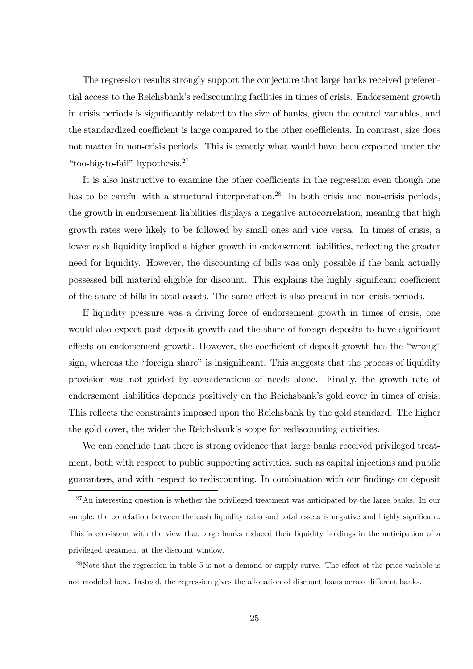The regression results strongly support the conjecture that large banks received preferential access to the Reichsbank's rediscounting facilities in times of crisis. Endorsement growth in crisis periods is significantly related to the size of banks, given the control variables, and the standardized coefficient is large compared to the other coefficients. In contrast, size does not matter in non-crisis periods. This is exactly what would have been expected under the "too-big-to-fail" hypothesis. $27$ 

It is also instructive to examine the other coefficients in the regression even though one has to be careful with a structural interpretation.<sup>28</sup> In both crisis and non-crisis periods, the growth in endorsement liabilities displays a negative autocorrelation, meaning that high growth rates were likely to be followed by small ones and vice versa. In times of crisis, a lower cash liquidity implied a higher growth in endorsement liabilities, reflecting the greater need for liquidity. However, the discounting of bills was only possible if the bank actually possessed bill material eligible for discount. This explains the highly significant coefficient of the share of bills in total assets. The same effect is also present in non-crisis periods.

If liquidity pressure was a driving force of endorsement growth in times of crisis, one would also expect past deposit growth and the share of foreign deposits to have significant effects on endorsement growth. However, the coefficient of deposit growth has the "wrong" sign, whereas the "foreign share" is insignificant. This suggests that the process of liquidity provision was not guided by considerations of needs alone. Finally, the growth rate of endorsement liabilities depends positively on the Reichsbank's gold cover in times of crisis. This reflects the constraints imposed upon the Reichsbank by the gold standard. The higher the gold cover, the wider the Reichsbank's scope for rediscounting activities.

We can conclude that there is strong evidence that large banks received privileged treatment, both with respect to public supporting activities, such as capital injections and public guarantees, and with respect to rediscounting. In combination with our findings on deposit

<sup>28</sup>Note that the regression in table 5 is not a demand or supply curve. The effect of the price variable is not modeled here. Instead, the regression gives the allocation of discount loans across different banks.

<sup>&</sup>lt;sup>27</sup>An interesting question is whether the privileged treatment was anticipated by the large banks. In our sample, the correlation between the cash liquidity ratio and total assets is negative and highly significant. This is consistent with the view that large banks reduced their liquidity holdings in the anticipation of a privileged treatment at the discount window.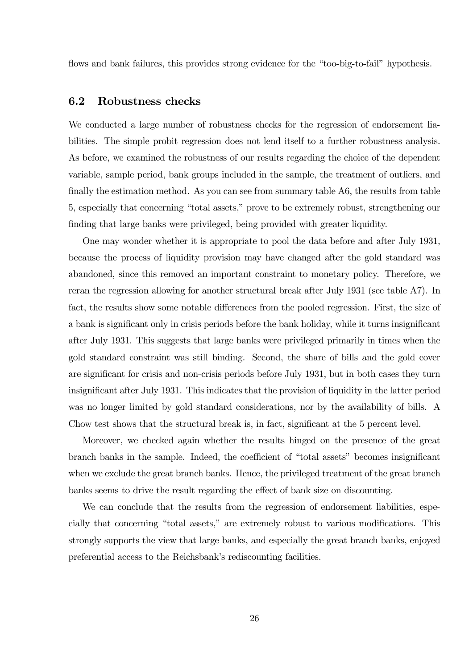flows and bank failures, this provides strong evidence for the "too-big-to-fail" hypothesis.

#### 6.2 Robustness checks

We conducted a large number of robustness checks for the regression of endorsement liabilities. The simple probit regression does not lend itself to a further robustness analysis. As before, we examined the robustness of our results regarding the choice of the dependent variable, sample period, bank groups included in the sample, the treatment of outliers, and finally the estimation method. As you can see from summary table A6, the results from table 5, especially that concerning "total assets," prove to be extremely robust, strengthening our finding that large banks were privileged, being provided with greater liquidity.

One may wonder whether it is appropriate to pool the data before and after July 1931, because the process of liquidity provision may have changed after the gold standard was abandoned, since this removed an important constraint to monetary policy. Therefore, we reran the regression allowing for another structural break after July 1931 (see table A7). In fact, the results show some notable differences from the pooled regression. First, the size of a bank is significant only in crisis periods before the bank holiday, while it turns insignificant after July 1931. This suggests that large banks were privileged primarily in times when the gold standard constraint was still binding. Second, the share of bills and the gold cover are significant for crisis and non-crisis periods before July 1931, but in both cases they turn insignificant after July 1931. This indicates that the provision of liquidity in the latter period was no longer limited by gold standard considerations, nor by the availability of bills. A Chow test shows that the structural break is, in fact, significant at the 5 percent level.

Moreover, we checked again whether the results hinged on the presence of the great branch banks in the sample. Indeed, the coefficient of "total assets" becomes insignificant when we exclude the great branch banks. Hence, the privileged treatment of the great branch banks seems to drive the result regarding the effect of bank size on discounting.

We can conclude that the results from the regression of endorsement liabilities, especially that concerning "total assets," are extremely robust to various modifications. This strongly supports the view that large banks, and especially the great branch banks, enjoyed preferential access to the Reichsbank's rediscounting facilities.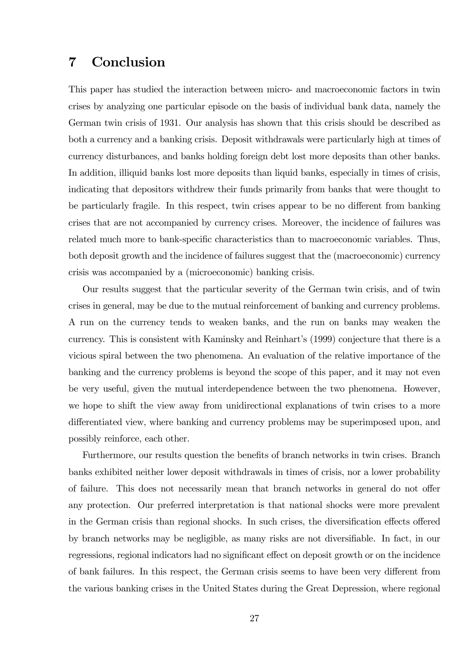## 7 Conclusion

This paper has studied the interaction between micro- and macroeconomic factors in twin crises by analyzing one particular episode on the basis of individual bank data, namely the German twin crisis of 1931. Our analysis has shown that this crisis should be described as both a currency and a banking crisis. Deposit withdrawals were particularly high at times of currency disturbances, and banks holding foreign debt lost more deposits than other banks. In addition, illiquid banks lost more deposits than liquid banks, especially in times of crisis, indicating that depositors withdrew their funds primarily from banks that were thought to be particularly fragile. In this respect, twin crises appear to be no different from banking crises that are not accompanied by currency crises. Moreover, the incidence of failures was related much more to bank-specific characteristics than to macroeconomic variables. Thus, both deposit growth and the incidence of failures suggest that the (macroeconomic) currency crisis was accompanied by a (microeconomic) banking crisis.

Our results suggest that the particular severity of the German twin crisis, and of twin crises in general, may be due to the mutual reinforcement of banking and currency problems. A run on the currency tends to weaken banks, and the run on banks may weaken the currency. This is consistent with Kaminsky and Reinhart's (1999) conjecture that there is a vicious spiral between the two phenomena. An evaluation of the relative importance of the banking and the currency problems is beyond the scope of this paper, and it may not even be very useful, given the mutual interdependence between the two phenomena. However, we hope to shift the view away from unidirectional explanations of twin crises to a more differentiated view, where banking and currency problems may be superimposed upon, and possibly reinforce, each other.

Furthermore, our results question the benefits of branch networks in twin crises. Branch banks exhibited neither lower deposit withdrawals in times of crisis, nor a lower probability of failure. This does not necessarily mean that branch networks in general do not offer any protection. Our preferred interpretation is that national shocks were more prevalent in the German crisis than regional shocks. In such crises, the diversification effects offered by branch networks may be negligible, as many risks are not diversifiable. In fact, in our regressions, regional indicators had no significant effect on deposit growth or on the incidence of bank failures. In this respect, the German crisis seems to have been very different from the various banking crises in the United States during the Great Depression, where regional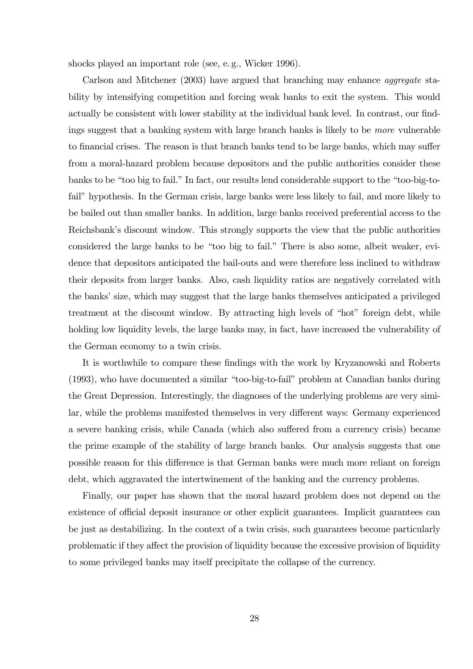shocks played an important role (see, e. g., Wicker 1996).

Carlson and Mitchener (2003) have argued that branching may enhance aggregate stability by intensifying competition and forcing weak banks to exit the system. This would actually be consistent with lower stability at the individual bank level. In contrast, our findings suggest that a banking system with large branch banks is likely to be more vulnerable to financial crises. The reason is that branch banks tend to be large banks, which may suffer from a moral-hazard problem because depositors and the public authorities consider these banks to be "too big to fail." In fact, our results lend considerable support to the "too-big-tofail" hypothesis. In the German crisis, large banks were less likely to fail, and more likely to be bailed out than smaller banks. In addition, large banks received preferential access to the Reichsbank's discount window. This strongly supports the view that the public authorities considered the large banks to be "too big to fail." There is also some, albeit weaker, evidence that depositors anticipated the bail-outs and were therefore less inclined to withdraw their deposits from larger banks. Also, cash liquidity ratios are negatively correlated with the banksí size, which may suggest that the large banks themselves anticipated a privileged treatment at the discount window. By attracting high levels of "hot" foreign debt, while holding low liquidity levels, the large banks may, in fact, have increased the vulnerability of the German economy to a twin crisis.

It is worthwhile to compare these findings with the work by Kryzanowski and Roberts  $(1993)$ , who have documented a similar "too-big-to-fail" problem at Canadian banks during the Great Depression. Interestingly, the diagnoses of the underlying problems are very similar, while the problems manifested themselves in very different ways: Germany experienced a severe banking crisis, while Canada (which also suffered from a currency crisis) became the prime example of the stability of large branch banks. Our analysis suggests that one possible reason for this difference is that German banks were much more reliant on foreign debt, which aggravated the intertwinement of the banking and the currency problems.

Finally, our paper has shown that the moral hazard problem does not depend on the existence of official deposit insurance or other explicit guarantees. Implicit guarantees can be just as destabilizing. In the context of a twin crisis, such guarantees become particularly problematic if they affect the provision of liquidity because the excessive provision of liquidity to some privileged banks may itself precipitate the collapse of the currency.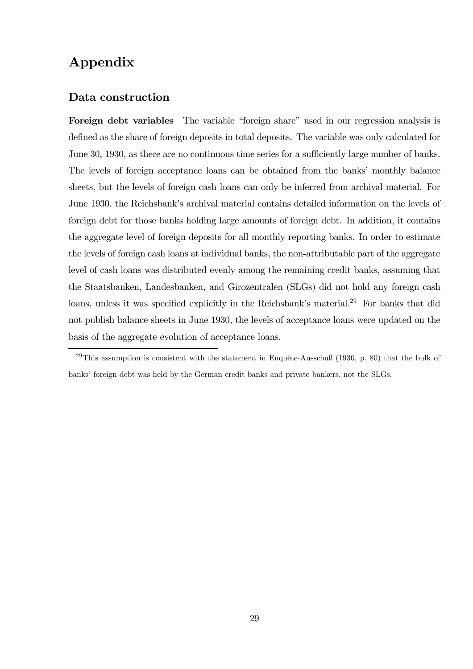## Appendix

#### Data construction

Foreign debt variables The variable "foreign share" used in our regression analysis is defined as the share of foreign deposits in total deposits. The variable was only calculated for June 30, 1930, as there are no continuous time series for a sufficiently large number of banks. The levels of foreign acceptance loans can be obtained from the banks' monthly balance sheets, but the levels of foreign cash loans can only be inferred from archival material. For June 1930, the Reichsbank's archival material contains detailed information on the levels of foreign debt for those banks holding large amounts of foreign debt. In addition, it contains the aggregate level of foreign deposits for all monthly reporting banks. In order to estimate the levels of foreign cash loans at individual banks, the non-attributable part of the aggregate level of cash loans was distributed evenly among the remaining credit banks, assuming that the Staatsbanken, Landesbanken, and Girozentralen (SLGs) did not hold any foreign cash loans, unless it was specified explicitly in the Reichsbank's material.<sup>29</sup> For banks that did not publish balance sheets in June 1930, the levels of acceptance loans were updated on the basis of the aggregate evolution of acceptance loans.

 $^{29}$ This assumption is consistent with the statement in Enquête-Ausschuß (1930, p. 80) that the bulk of banks' foreign debt was held by the German credit banks and private bankers, not the SLGs.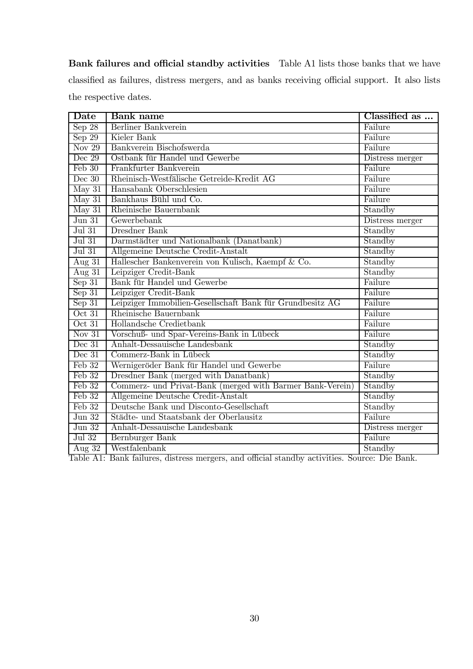Bank failures and official standby activities Table A1 lists those banks that we have classified as failures, distress mergers, and as banks receiving official support. It also lists the respective dates.

| Date                          | <b>Bank</b> name                                          | Classified as   |
|-------------------------------|-----------------------------------------------------------|-----------------|
| Sep 28                        | Berliner Bankverein                                       | Failure         |
| Sep29                         | Kieler Bank                                               | Failure         |
| Nov $29$                      | Bankverein Bischofswerda                                  | Failure         |
| Dec $29$                      | Ostbank für Handel und Gewerbe                            | Distress merger |
| $\overline{\text{Feb }30}$    | Frankfurter Bankverein                                    | Failure         |
| Dec $30$                      | Rheinisch-Westfälische Getreide-Kredit AG                 | Failure         |
| May 31                        | Hansabank Oberschlesien                                   | Failure         |
| May 31                        | Bankhaus Bühl und Co.                                     | Failure         |
| $\overline{\text{May }31}$    | Rheinische Bauernbank                                     | Standby         |
| $\overline{\text{Jun }31}$    | Gewerbebank                                               | Distress merger |
| $\overline{\mathrm{Jul}}\,31$ | Dresdner Bank                                             | Standby         |
| $\overline{\mathrm{Jul}}\,31$ | Darmstädter und Nationalbank (Danatbank)                  | Standby         |
| $\overline{\mathrm{Jul}}\,31$ | Allgemeine Deutsche Credit-Anstalt                        | Standby         |
| Aug 31                        | Hallescher Bankenverein von Kulisch, Kaempf & Co.         | Standby         |
| $Aug$ 31                      | Leipziger Credit-Bank                                     | Standby         |
| Sep $31$                      | Bank für Handel und Gewerbe                               | Failure         |
| Sep 31                        | Leipziger Credit-Bank                                     | Failure         |
| Sep 31                        | Leipziger Immobilien-Gesellschaft Bank für Grundbesitz AG | Failure         |
| $\overline{\mathrm{Oct}}$ 31  | Rheinische Bauernbank                                     | Failure         |
| Oct $31$                      | Hollandsche Credietbank                                   | Failure         |
| Nov $31$                      | Vorschuß- und Spar-Vereins-Bank in Lübeck                 | Failure         |
| Dec $31$                      | Anhalt-Dessauische Landesbank                             | Standby         |
| Dec $31$                      | Commerz-Bank in Lübeck                                    | Standby         |
| Feb 32                        | Wernigeröder Bank für Handel und Gewerbe                  | Failure         |
| Feb 32                        | Dresdner Bank (merged with Danatbank)                     | Standby         |
| Feb $32$                      | Commerz- und Privat-Bank (merged with Barmer Bank-Verein) | Standby         |
| $\overline{\text{Feb }32}$    | <b>Allgemeine Deutsche Credit-Anstalt</b>                 | Standby         |
| $\overline{\text{Feb }32}$    | Deutsche Bank und Disconto-Gesellschaft                   | Standby         |
| $J$ un $32$                   | Städte- und Staatsbank der Oberlausitz                    | Failure         |
| Jun 32                        | Anhalt-Dessauische Landesbank                             | Distress merger |
| $Jul$ 32                      | <b>Bernburger Bank</b>                                    | Failure         |
| $\overline{\text{Aug }32}$    | Westfalenbank                                             | Standby         |

Table A1: Bank failures, distress mergers, and official standby activities. Source: Die Bank.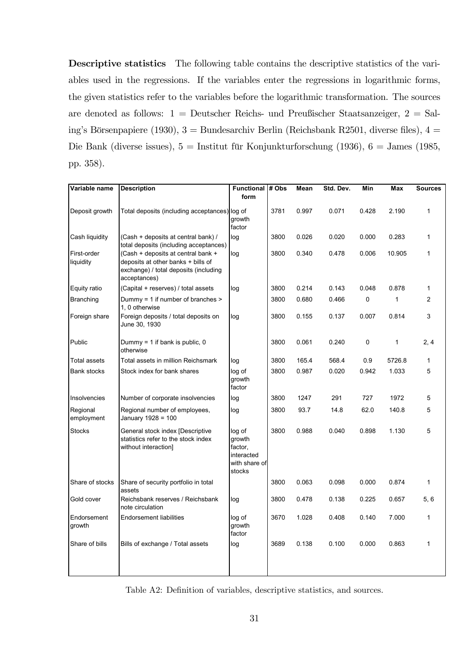Descriptive statistics The following table contains the descriptive statistics of the variables used in the regressions. If the variables enter the regressions in logarithmic forms, the given statistics refer to the variables before the logarithmic transformation. The sources are denoted as follows: 1 = Deutscher Reichs- und Preuflischer Staatsanzeiger, 2 = Saling's Börsenpapiere (1930), $\rm 3 =$  Bundesarchiv Berlin (Reichsbank R2501, diverse files),  $\rm 4 =$ Die Bank (diverse issues),  $5 =$ Institut für Konjunkturforschung (1936),  $6 =$  James (1985, pp. 358).

| Variable name            | <b>Description</b>                                                                                                               | Functional # Obs<br>form                                             |      | Mean  | Std. Dev. | Min   | Max    | <b>Sources</b> |
|--------------------------|----------------------------------------------------------------------------------------------------------------------------------|----------------------------------------------------------------------|------|-------|-----------|-------|--------|----------------|
| Deposit growth           | Total deposits (including acceptances) log of                                                                                    | growth<br>factor                                                     | 3781 | 0.997 | 0.071     | 0.428 | 2.190  | $\mathbf{1}$   |
| Cash liquidity           | (Cash + deposits at central bank) /<br>total deposits (including acceptances)                                                    | log                                                                  | 3800 | 0.026 | 0.020     | 0.000 | 0.283  | $\mathbf{1}$   |
| First-order<br>liquidity | Cash + deposits at central bank +<br>deposits at other banks + bills of<br>exchange) / total deposits (including<br>acceptances) | log                                                                  | 3800 | 0.340 | 0.478     | 0.006 | 10.905 | $\mathbf{1}$   |
| Equity ratio             | (Capital + reserves) / total assets                                                                                              | log                                                                  | 3800 | 0.214 | 0.143     | 0.048 | 0.878  | $\mathbf{1}$   |
| <b>Branching</b>         | Dummy = 1 if number of branches ><br>1, 0 otherwise                                                                              |                                                                      | 3800 | 0.680 | 0.466     | 0     | 1      | $\overline{2}$ |
| Foreign share            | Foreign deposits / total deposits on<br>June 30, 1930                                                                            | log                                                                  | 3800 | 0.155 | 0.137     | 0.007 | 0.814  | 3              |
| Public                   | Dummy = 1 if bank is public, 0<br>otherwise                                                                                      |                                                                      | 3800 | 0.061 | 0.240     | 0     | 1      | 2, 4           |
| <b>Total assets</b>      | Total assets in million Reichsmark                                                                                               | log                                                                  | 3800 | 165.4 | 568.4     | 0.9   | 5726.8 | $\mathbf{1}$   |
| <b>Bank stocks</b>       | Stock index for bank shares                                                                                                      | log of<br>growth<br>factor                                           | 3800 | 0.987 | 0.020     | 0.942 | 1.033  | 5              |
| Insolvencies             | Number of corporate insolvencies                                                                                                 | log                                                                  | 3800 | 1247  | 291       | 727   | 1972   | 5              |
| Regional<br>employment   | Regional number of employees,<br>January 1928 = 100                                                                              | log                                                                  | 3800 | 93.7  | 14.8      | 62.0  | 140.8  | 5              |
| <b>Stocks</b>            | General stock index [Descriptive<br>statistics refer to the stock index<br>without interaction]                                  | log of<br>growth<br>factor,<br>interacted<br>with share of<br>stocks | 3800 | 0.988 | 0.040     | 0.898 | 1.130  | 5              |
| Share of stocks          | Share of security portfolio in total<br>assets                                                                                   |                                                                      | 3800 | 0.063 | 0.098     | 0.000 | 0.874  | $\mathbf{1}$   |
| Gold cover               | Reichsbank reserves / Reichsbank<br>note circulation                                                                             | log                                                                  | 3800 | 0.478 | 0.138     | 0.225 | 0.657  | 5,6            |
| Endorsement<br>growth    | <b>Endorsement liabilities</b>                                                                                                   | log of<br>growth<br>factor                                           | 3670 | 1.028 | 0.408     | 0.140 | 7.000  | $\mathbf{1}$   |
| Share of bills           | Bills of exchange / Total assets                                                                                                 | log                                                                  | 3689 | 0.138 | 0.100     | 0.000 | 0.863  | $\mathbf{1}$   |

Table A2: Definition of variables, descriptive statistics, and sources.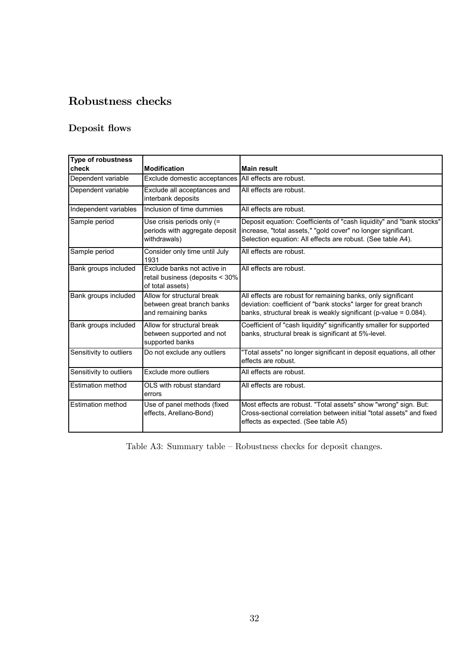## Robustness checks

### Deposit flows

| <b>Type of robustness</b> |                                                                                    |                                                                                                                                                                                                        |
|---------------------------|------------------------------------------------------------------------------------|--------------------------------------------------------------------------------------------------------------------------------------------------------------------------------------------------------|
| check                     | <b>Modification</b>                                                                | <b>Main result</b>                                                                                                                                                                                     |
| Dependent variable        | Exclude domestic acceptances All effects are robust.                               |                                                                                                                                                                                                        |
| Dependent variable        | Exclude all acceptances and<br>interbank deposits                                  | All effects are robust.                                                                                                                                                                                |
| Independent variables     | Inclusion of time dummies                                                          | All effects are robust.                                                                                                                                                                                |
| Sample period             | Use crisis periods only (=<br>periods with aggregate deposit<br>withdrawals)       | Deposit equation: Coefficients of "cash liquidity" and "bank stocks"<br>increase, "total assets," "gold cover" no longer significant.<br>Selection equation: All effects are robust. (See table A4).   |
| Sample period             | Consider only time until July<br>1931                                              | All effects are robust.                                                                                                                                                                                |
| Bank groups included      | Exclude banks not active in<br>retail business (deposits < 30%<br>of total assets) | All effects are robust.                                                                                                                                                                                |
| Bank groups included      | Allow for structural break<br>between great branch banks<br>and remaining banks    | All effects are robust for remaining banks, only significant<br>deviation: coefficient of "bank stocks" larger for great branch<br>banks, structural break is weakly significant (p-value = $0.084$ ). |
| Bank groups included      | Allow for structural break<br>between supported and not<br>supported banks         | Coefficient of "cash liquidity" significantly smaller for supported<br>banks, structural break is significant at 5%-level.                                                                             |
| Sensitivity to outliers   | Do not exclude any outliers                                                        | "Total assets" no longer significant in deposit equations, all other<br>effects are robust.                                                                                                            |
| Sensitivity to outliers   | Exclude more outliers                                                              | All effects are robust.                                                                                                                                                                                |
| <b>Estimation method</b>  | OLS with robust standard<br>errors                                                 | All effects are robust.                                                                                                                                                                                |
| <b>Estimation method</b>  | Use of panel methods (fixed<br>effects, Arellano-Bond)                             | Most effects are robust. "Total assets" show "wrong" sign. But:<br>Cross-sectional correlation between initial "total assets" and fixed<br>effects as expected. (See table A5)                         |

Table A3: Summary table  $-$  Robustness checks for deposit changes.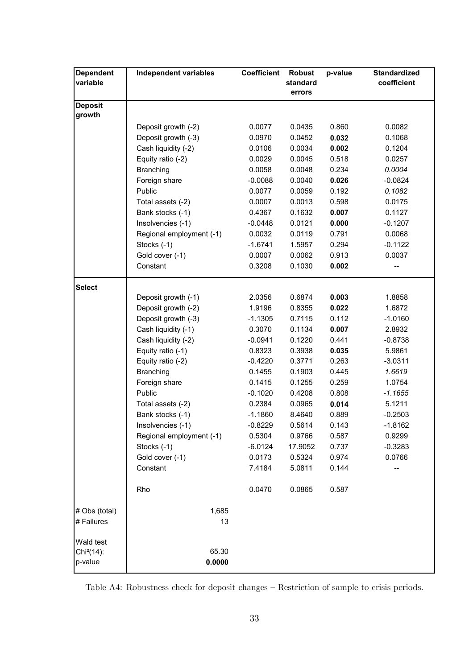| <b>Dependent</b>       | <b>Independent variables</b> | <b>Coefficient</b> | <b>Robust</b>      | p-value | <b>Standardized</b> |
|------------------------|------------------------------|--------------------|--------------------|---------|---------------------|
| variable               |                              |                    | standard<br>errors |         | coefficient         |
| <b>Deposit</b>         |                              |                    |                    |         |                     |
| growth                 |                              |                    |                    |         |                     |
|                        | Deposit growth (-2)          | 0.0077             | 0.0435             | 0.860   | 0.0082              |
|                        | Deposit growth (-3)          | 0.0970             | 0.0452             | 0.032   | 0.1068              |
|                        | Cash liquidity (-2)          | 0.0106             | 0.0034             | 0.002   | 0.1204              |
|                        | Equity ratio (-2)            | 0.0029             | 0.0045             | 0.518   | 0.0257              |
|                        | <b>Branching</b>             | 0.0058             | 0.0048             | 0.234   | 0.0004              |
|                        | Foreign share                | $-0.0088$          | 0.0040             | 0.026   | $-0.0824$           |
|                        | Public                       | 0.0077             | 0.0059             | 0.192   | 0.1082              |
|                        | Total assets (-2)            | 0.0007             | 0.0013             | 0.598   | 0.0175              |
|                        | Bank stocks (-1)             | 0.4367             | 0.1632             | 0.007   | 0.1127              |
|                        | Insolvencies (-1)            | $-0.0448$          | 0.0121             | 0.000   | $-0.1207$           |
|                        | Regional employment (-1)     | 0.0032             | 0.0119             | 0.791   | 0.0068              |
|                        | Stocks (-1)                  | $-1.6741$          | 1.5957             | 0.294   | $-0.1122$           |
|                        | Gold cover (-1)              | 0.0007             | 0.0062             | 0.913   | 0.0037              |
|                        | Constant                     | 0.3208             | 0.1030             | 0.002   |                     |
| <b>Select</b>          |                              |                    |                    |         |                     |
|                        | Deposit growth (-1)          | 2.0356             | 0.6874             | 0.003   | 1.8858              |
|                        | Deposit growth (-2)          | 1.9196             | 0.8355             | 0.022   | 1.6872              |
|                        | Deposit growth (-3)          | $-1.1305$          | 0.7115             | 0.112   | $-1.0160$           |
|                        | Cash liquidity (-1)          | 0.3070             | 0.1134             | 0.007   | 2.8932              |
|                        | Cash liquidity (-2)          | $-0.0941$          | 0.1220             | 0.441   | $-0.8738$           |
|                        | Equity ratio (-1)            | 0.8323             | 0.3938             | 0.035   | 5.9861              |
|                        | Equity ratio (-2)            | $-0.4220$          | 0.3771             | 0.263   | $-3.0311$           |
|                        | <b>Branching</b>             | 0.1455             | 0.1903             | 0.445   | 1.6619              |
|                        | Foreign share                | 0.1415             | 0.1255             | 0.259   | 1.0754              |
|                        | Public                       | $-0.1020$          | 0.4208             | 0.808   | $-1.1655$           |
|                        | Total assets (-2)            | 0.2384             | 0.0965             | 0.014   | 5.1211              |
|                        | Bank stocks (-1)             | $-1.1860$          | 8.4640             | 0.889   | $-0.2503$           |
|                        | Insolvencies (-1)            | $-0.8229$          | 0.5614             | 0.143   | $-1.8162$           |
|                        | Regional employment (-1)     | 0.5304             | 0.9766             | 0.587   | 0.9299              |
|                        | Stocks (-1)                  | $-6.0124$          | 17.9052            | 0.737   | $-0.3283$           |
|                        | Gold cover (-1)              | 0.0173             | 0.5324             | 0.974   | 0.0766              |
|                        | Constant                     | 7.4184             | 5.0811             | 0.144   |                     |
|                        | Rho                          | 0.0470             | 0.0865             | 0.587   |                     |
| # Obs (total)          | 1,685                        |                    |                    |         |                     |
| # Failures             | 13                           |                    |                    |         |                     |
| Wald test              |                              |                    |                    |         |                     |
| Chi <sup>2</sup> (14): | 65.30                        |                    |                    |         |                     |
| p-value                | 0.0000                       |                    |                    |         |                     |

Table A4: Robustness check for deposit changes  $-$  Restriction of sample to crisis periods.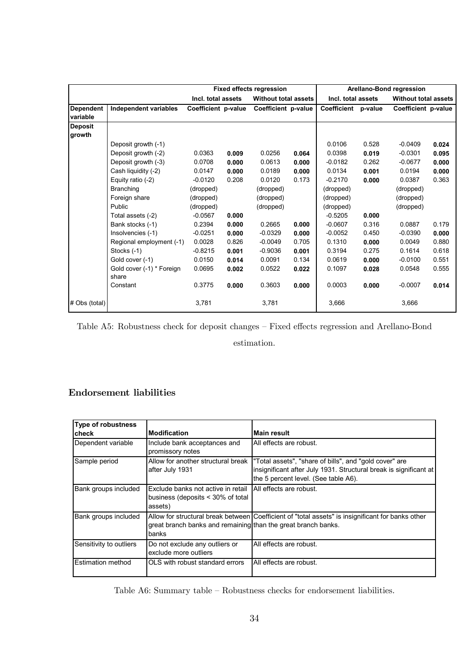|                          |                              |                     |       | <b>Fixed effects regression</b> |       | Arellano-Bond regression |                    |                     |                             |
|--------------------------|------------------------------|---------------------|-------|---------------------------------|-------|--------------------------|--------------------|---------------------|-----------------------------|
|                          |                              | Incl. total assets  |       | <b>Without total assets</b>     |       |                          | Incl. total assets |                     | <b>Without total assets</b> |
| <b>Dependent</b>         | <b>Independent variables</b> | Coefficient p-value |       | Coefficient p-value             |       | Coefficient p-value      |                    | Coefficient p-value |                             |
| variable                 |                              |                     |       |                                 |       |                          |                    |                     |                             |
| <b>Deposit</b><br>growth |                              |                     |       |                                 |       |                          |                    |                     |                             |
|                          | Deposit growth (-1)          |                     |       |                                 |       | 0.0106                   | 0.528              | $-0.0409$           | 0.024                       |
|                          | Deposit growth (-2)          | 0.0363              | 0.009 | 0.0256                          | 0.064 | 0.0398                   | 0.019              | $-0.0301$           | 0.095                       |
|                          | Deposit growth (-3)          | 0.0708              | 0.000 | 0.0613                          | 0.000 | $-0.0182$                | 0.262              | $-0.0677$           | 0.000                       |
|                          | Cash liquidity (-2)          | 0.0147              | 0.000 | 0.0189                          | 0.000 | 0.0134                   | 0.001              | 0.0194              | 0.000                       |
|                          | Equity ratio (-2)            | $-0.0120$           | 0.208 | 0.0120                          | 0.173 | $-0.2170$                | 0.000              | 0.0387              | 0.363                       |
|                          | <b>Branching</b>             | (dropped)           |       | (dropped)                       |       | (dropped)                |                    | (dropped)           |                             |
|                          | Foreign share                | (dropped)           |       | (dropped)                       |       | (dropped)                |                    | (dropped)           |                             |
|                          | Public                       | (dropped)           |       | (dropped)                       |       | (dropped)                |                    | (dropped)           |                             |
|                          | Total assets (-2)            | $-0.0567$           | 0.000 |                                 |       | $-0.5205$                | 0.000              |                     |                             |
|                          | Bank stocks (-1)             | 0.2394              | 0.000 | 0.2665                          | 0.000 | $-0.0607$                | 0.316              | 0.0887              | 0.179                       |
|                          | Insolvencies (-1)            | $-0.0251$           | 0.000 | $-0.0329$                       | 0.000 | $-0.0052$                | 0.450              | $-0.0390$           | 0.000                       |
|                          | Regional employment (-1)     | 0.0028              | 0.826 | $-0.0049$                       | 0.705 | 0.1310                   | 0.000              | 0.0049              | 0.880                       |
|                          | Stocks $(-1)$                | $-0.8215$           | 0.001 | $-0.9036$                       | 0.001 | 0.3194                   | 0.275              | 0.1614              | 0.618                       |
|                          | Gold cover (-1)              | 0.0150              | 0.014 | 0.0091                          | 0.134 | 0.0619                   | 0.000              | $-0.0100$           | 0.551                       |
|                          | Gold cover (-1) * Foreign    | 0.0695              | 0.002 | 0.0522                          | 0.022 | 0.1097                   | 0.028              | 0.0548              | 0.555                       |
|                          | share                        |                     |       |                                 |       |                          |                    |                     |                             |
|                          | Constant                     | 0.3775              | 0.000 | 0.3603                          | 0.000 | 0.0003                   | 0.000              | $-0.0007$           | 0.014                       |
| # Obs (total)            |                              | 3,781               |       | 3,781                           |       | 3,666                    |                    | 3,666               |                             |

Table A5: Robustness check for deposit changes – Fixed effects regression and Arellano-Bond

estimation.

#### Endorsement liabilities

| <b>Type of robustness</b><br>check | <b>Modification</b>                                                                                        | <b>Main result</b>                                                                                                                                                  |
|------------------------------------|------------------------------------------------------------------------------------------------------------|---------------------------------------------------------------------------------------------------------------------------------------------------------------------|
| Dependent variable                 | Include bank acceptances and<br>promissory notes                                                           | All effects are robust.                                                                                                                                             |
| Sample period                      | Allow for another structural break<br>after July 1931                                                      | "Total assets", "share of bills", and "gold cover" are<br>insignificant after July 1931. Structural break is significant at<br>the 5 percent level. (See table A6). |
| Bank groups included               | Exclude banks not active in retail All effects are robust.<br>business (deposits < 30% of total<br>assets) |                                                                                                                                                                     |
| Bank groups included               | great branch banks and remaining than the great branch banks.<br>banks                                     | Allow for structural break between Coefficient of "total assets" is insignificant for banks other                                                                   |
| Sensitivity to outliers            | Do not exclude any outliers or<br>exclude more outliers                                                    | All effects are robust.                                                                                                                                             |
| <b>Estimation method</b>           | OLS with robust standard errors                                                                            | All effects are robust.                                                                                                                                             |

Table  $A6$ : Summary table  $-$  Robustness checks for endorsement liabilities.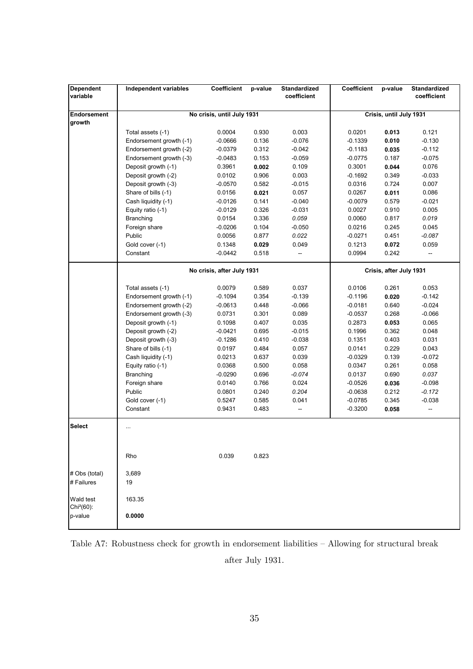| <b>Dependent</b><br>variable        | <b>Independent variables</b> | Coefficient                | p-value                 | <b>Standardized</b><br>coefficient | Coefficient | p-value                 | <b>Standardized</b><br>coefficient |  |
|-------------------------------------|------------------------------|----------------------------|-------------------------|------------------------------------|-------------|-------------------------|------------------------------------|--|
| Endorsement<br>growth               |                              | No crisis, until July 1931 |                         |                                    |             | Crisis, until July 1931 |                                    |  |
|                                     | Total assets (-1)            | 0.0004                     | 0.930                   | 0.003                              | 0.0201      | 0.013                   | 0.121                              |  |
|                                     | Endorsement growth (-1)      | $-0.0666$                  | 0.136                   | $-0.076$                           | $-0.1339$   | 0.010                   | $-0.130$                           |  |
|                                     | Endorsement growth (-2)      | $-0.0379$                  | 0.312                   | $-0.042$                           | $-0.1183$   | 0.035                   | $-0.112$                           |  |
|                                     | Endorsement growth (-3)      | $-0.0483$                  | 0.153                   | $-0.059$                           | $-0.0775$   | 0.187                   | $-0.075$                           |  |
|                                     | Deposit growth (-1)          | 0.3961                     | 0.002                   | 0.109                              | 0.3001      | 0.044                   | 0.076                              |  |
|                                     | Deposit growth (-2)          | 0.0102                     | 0.906                   | 0.003                              | $-0.1692$   | 0.349                   | $-0.033$                           |  |
|                                     | Deposit growth (-3)          | $-0.0570$                  | 0.582                   | $-0.015$                           | 0.0316      | 0.724                   | 0.007                              |  |
|                                     | Share of bills (-1)          | 0.0156                     | 0.021                   | 0.057                              | 0.0267      | 0.011                   | 0.086                              |  |
|                                     | Cash liquidity (-1)          | $-0.0126$                  | 0.141                   | $-0.040$                           | $-0.0079$   | 0.579                   | $-0.021$                           |  |
|                                     | Equity ratio (-1)            | $-0.0129$                  | 0.326                   | $-0.031$                           | 0.0027      | 0.910                   | 0.005                              |  |
|                                     | Branching                    | 0.0154                     | 0.336                   | 0.059                              | 0.0060      | 0.817                   | 0.019                              |  |
|                                     | Foreign share                | $-0.0206$                  | 0.104                   | $-0.050$                           | 0.0216      | 0.245                   | 0.045                              |  |
|                                     | Public                       | 0.0056                     | 0.877                   | 0.022                              | $-0.0271$   | 0.451                   | -0.087                             |  |
|                                     | Gold cover (-1)              | 0.1348                     | 0.029                   | 0.049                              | 0.1213      | 0.072                   | 0.059                              |  |
|                                     | Constant                     | $-0.0442$                  | 0.518                   | Щ,                                 | 0.0994      | 0.242                   | Ξ.                                 |  |
|                                     | No crisis, after July 1931   |                            | Crisis, after July 1931 |                                    |             |                         |                                    |  |
|                                     | Total assets (-1)            | 0.0079                     | 0.589                   | 0.037                              | 0.0106      | 0.261                   | 0.053                              |  |
|                                     | Endorsement growth (-1)      | $-0.1094$                  | 0.354                   | $-0.139$                           | $-0.1196$   | 0.020                   | $-0.142$                           |  |
|                                     | Endorsement growth (-2)      | $-0.0613$                  | 0.448                   | $-0.066$                           | $-0.0181$   | 0.640                   | $-0.024$                           |  |
|                                     | Endorsement growth (-3)      | 0.0731                     | 0.301                   | 0.089                              | $-0.0537$   | 0.268                   | $-0.066$                           |  |
|                                     | Deposit growth (-1)          | 0.1098                     | 0.407                   | 0.035                              | 0.2873      | 0.053                   | 0.065                              |  |
|                                     | Deposit growth (-2)          | $-0.0421$                  | 0.695                   | $-0.015$                           | 0.1996      | 0.362                   | 0.048                              |  |
|                                     | Deposit growth (-3)          | $-0.1286$                  | 0.410                   | $-0.038$                           | 0.1351      | 0.403                   | 0.031                              |  |
|                                     | Share of bills (-1)          | 0.0197                     | 0.484                   | 0.057                              | 0.0141      | 0.229                   | 0.043                              |  |
|                                     | Cash liquidity (-1)          | 0.0213                     | 0.637                   | 0.039                              | $-0.0329$   | 0.139                   | $-0.072$                           |  |
|                                     | Equity ratio (-1)            | 0.0368                     | 0.500                   | 0.058                              | 0.0347      | 0.261                   | 0.058                              |  |
|                                     | <b>Branching</b>             | $-0.0290$                  | 0.696                   | $-0.074$                           | 0.0137      | 0.690                   | 0.037                              |  |
|                                     | Foreign share                | 0.0140                     | 0.766                   | 0.024                              | $-0.0526$   | 0.036                   | $-0.098$                           |  |
|                                     | Public                       | 0.0801                     | 0.240                   | 0.204                              | $-0.0638$   | 0.212                   | -0.172                             |  |
|                                     | Gold cover (-1)              | 0.5247                     | 0.585                   | 0.041                              | $-0.0785$   | 0.345                   | $-0.038$                           |  |
|                                     | Constant                     | 0.9431                     | 0.483                   | Щ,                                 | $-0.3200$   | 0.058                   | Щ,                                 |  |
| Select                              | $\ldots$                     |                            |                         |                                    |             |                         |                                    |  |
|                                     | Rho                          | 0.039                      | 0.823                   |                                    |             |                         |                                    |  |
| # Obs (total)<br># Failures         | 3,689<br>19                  |                            |                         |                                    |             |                         |                                    |  |
| Wald test<br>Chi <sup>2</sup> (60): | 163.35                       |                            |                         |                                    |             |                         |                                    |  |
| p-value                             | 0.0000                       |                            |                         |                                    |             |                         |                                    |  |

Table A7: Robustness check for growth in endorsement liabilities  $-$  Allowing for structural break

after July 1931.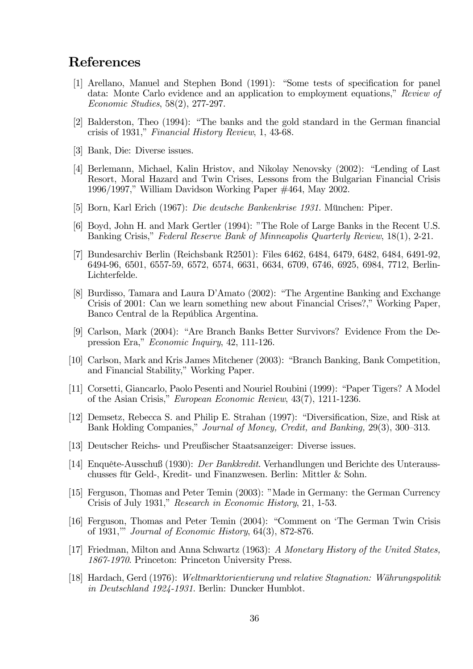## References

- [1] Arellano, Manuel and Stephen Bond (1991): "Some tests of specification for panel data: Monte Carlo evidence and an application to employment equations," Review of Economic Studies, 58(2), 277-297.
- [2] Balderston, Theo (1994): "The banks and the gold standard in the German financial crisis of 1931," Financial History Review, 1, 43-68.
- [3] Bank, Die: Diverse issues.
- [4] Berlemann, Michael, Kalin Hristov, and Nikolay Nenovsky (2002): "Lending of Last Resort, Moral Hazard and Twin Crises, Lessons from the Bulgarian Financial Crisis 1996/1997," William Davidson Working Paper #464, May 2002.
- [5] Born, Karl Erich (1967): *Die deutsche Bankenkrise 1931*. München: Piper.
- [6] Boyd, John H. and Mark Gertler (1994): "The Role of Large Banks in the Recent U.S. Banking Crisis," Federal Reserve Bank of Minneapolis Quarterly Review, 18(1), 2-21.
- [7] Bundesarchiv Berlin (Reichsbank R2501): Files 6462, 6484, 6479, 6482, 6484, 6491-92, 6494-96, 6501, 6557-59, 6572, 6574, 6631, 6634, 6709, 6746, 6925, 6984, 7712, Berlin-Lichterfelde.
- [8] Burdisso, Tamara and Laura D'Amato (2002): "The Argentine Banking and Exchange Crisis of 2001: Can we learn something new about Financial Crises?," Working Paper, Banco Central de la República Argentina.
- [9] Carlson, Mark (2004): "Are Branch Banks Better Survivors? Evidence From the Depression Era," Economic Inquiry, 42, 111-126.
- [10] Carlson, Mark and Kris James Mitchener (2003): "Branch Banking, Bank Competition, and Financial Stability," Working Paper.
- [11] Corsetti, Giancarlo, Paolo Pesenti and Nouriel Roubini (1999): "Paper Tigers? A Model of the Asian Crisis,î European Economic Review, 43(7), 1211-1236.
- [12] Demsetz, Rebecca S. and Philip E. Strahan (1997): "Diversification, Size, and Risk at Bank Holding Companies," Journal of Money, Credit, and Banking, 29(3), 300–313.
- [13] Deutscher Reichs- und Preuflischer Staatsanzeiger: Diverse issues.
- [14] Enquête-Ausschuß (1930): Der Bankkredit. Verhandlungen und Berichte des Unterausschusses für Geld-, Kredit- und Finanzwesen. Berlin: Mittler & Sohn.
- [15] Ferguson, Thomas and Peter Temin (2003): "Made in Germany: the German Currency Crisis of July 1931," Research in Economic History, 21, 1-53.
- [16] Ferguson, Thomas and Peter Temin (2004): "Comment on 'The German Twin Crisis of 1931," *Journal of Economic History*,  $64(3)$ , 872-876.
- [17] Friedman, Milton and Anna Schwartz (1963): A Monetary History of the United States, 1867-1970. Princeton: Princeton University Press.
- [18] Hardach, Gerd (1976): Weltmarktorientierung und relative Stagnation: W‰hrungspolitik in Deutschland 1924-1931. Berlin: Duncker Humblot.